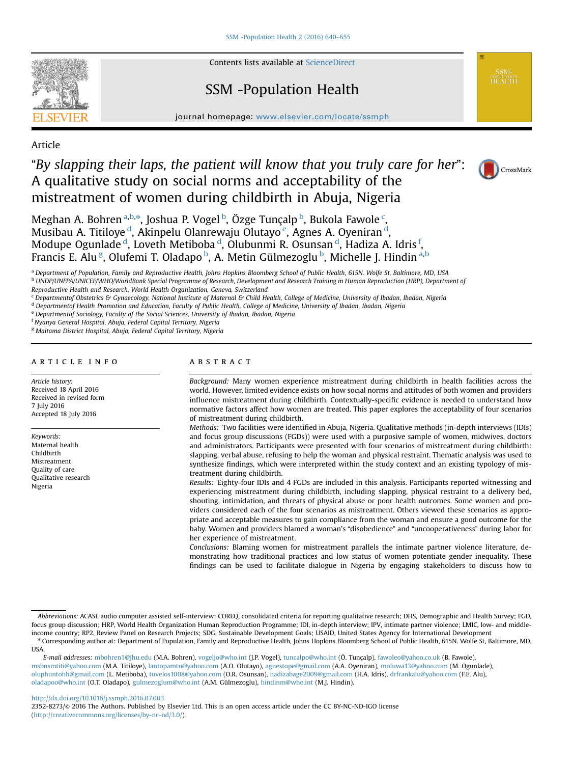

Contents lists available at [ScienceDirect](www.sciencedirect.com/science/journal/23528273)

# SSM -Population Health

journal homepage: <www.elsevier.com/locate/ssmph>p/locate/ssmphp/locate/ssmphp/locate/ssm

# Article

# "By slapping their laps, the patient will know that you truly care for her": A qualitative study on social norms and acceptability of the mistreatment of women during childbirth in Abuja, Nigeria



Meghan A. Bohren <sup>a,b,</sup>\*, Joshua P. Vogel <sup>b</sup>, Özge Tunçalp <sup>b</sup>, Bukola Fawole <sup>c</sup>, Musibau A. Titiloye <sup>d</sup>, Akinpelu Olanrewaju Olutayo<sup>'e</sup>, Agnes A. Oyeniran <sup>d</sup>, Modupe Ogunlade <sup>d</sup>, Loveth Metiboba <sup>d</sup>, Olubunmi R. Osunsan <sup>d</sup>, Hadiza A. Idris <sup>f</sup>, Francis E. Alu <sup>g</sup>, Olufemi T. Oladapo <sup>b</sup>, A. Metin Gülmezoglu <sup>b</sup>, Michelle J. Hindin <sup>a,b</sup>

<sup>c</sup> Departmentof Obstetrics & Gynaecology, National Institute of Maternal & Child Health, College of Medicine, University of Ibadan, Ibadan, Nigeria

<sup>d</sup> Departmentof Health Promotion and Education, Faculty of Public Health, College of Medicine, University of Ibadan, Ibadan, Nigeria

<sup>e</sup> Departmentof Sociology, Faculty of the Social Sciences, University of Ibadan, Ibadan, Nigeria

<sup>f</sup> Nyanya General Hospital, Abuja, Federal Capital Territory, Nigeria

<sup>g</sup> Maitama District Hospital, Abuja, Federal Capital Territory, Nigeria

#### article info

Article history: Received 18 April 2016 Received in revised form 7 July 2016 Accepted 18 July 2016

Keywords: Maternal health Childbirth Mistreatment Quality of care Qualitative research Nigeria

# ABSTRACT

Background: Many women experience mistreatment during childbirth in health facilities across the world. However, limited evidence exists on how social norms and attitudes of both women and providers influence mistreatment during childbirth. Contextually-specific evidence is needed to understand how normative factors affect how women are treated. This paper explores the acceptability of four scenarios of mistreatment during childbirth.

Methods: Two facilities were identified in Abuja, Nigeria. Qualitative methods (in-depth interviews (IDIs) and focus group discussions (FGDs)) were used with a purposive sample of women, midwives, doctors and administrators. Participants were presented with four scenarios of mistreatment during childbirth: slapping, verbal abuse, refusing to help the woman and physical restraint. Thematic analysis was used to synthesize findings, which were interpreted within the study context and an existing typology of mistreatment during childbirth.

Results: Eighty-four IDIs and 4 FGDs are included in this analysis. Participants reported witnessing and experiencing mistreatment during childbirth, including slapping, physical restraint to a delivery bed, shouting, intimidation, and threats of physical abuse or poor health outcomes. Some women and providers considered each of the four scenarios as mistreatment. Others viewed these scenarios as appropriate and acceptable measures to gain compliance from the woman and ensure a good outcome for the baby. Women and providers blamed a woman's "disobedience" and "uncooperativeness" during labor for her experience of mistreatment.

Conclusions: Blaming women for mistreatment parallels the intimate partner violence literature, demonstrating how traditional practices and low status of women potentiate gender inequality. These findings can be used to facilitate dialogue in Nigeria by engaging stakeholders to discuss how to

<http://dx.doi.org/10.1016/j.ssmph.2016.07.003>

2352-8273/@ 2016 The Authors. Published by Elsevier Ltd. This is an open access article under the CC BY-NC-ND-IGO license (http://creativecommons.org/licenses/by-nc-nd/3.0/).

<sup>a</sup> Department of Population, Family and Reproductive Health, Johns Hopkins Bloomberg School of Public Health, 615N. Wolfe St, Baltimore, MD, USA <sup>b</sup> UNDP/UNFPA/UNICEF/WHO/WorldBank Special Programme of Research, Development and Research Training in Human Reproduction (HRP), Department of Reproductive Health and Research, World Health Organization, Geneva, Switzerland

Abbreviations: ACASI, audio computer assisted self-interview; COREQ, consolidated criteria for reporting qualitative research; DHS, Demographic and Health Survey; FGD, focus group discussion; HRP, World Health Organization Human Reproduction Programme; IDI, in-depth interview; IPV, intimate partner violence; LMIC, low- and middleincome country; RP2, Review Panel on Research Projects; SDG, Sustainable Development Goals; USAID, United States Agency for International Development <sup>n</sup> Corresponding author at: Department of Population, Family and Reproductive Health, Johns Hopkins Bloomberg School of Public Health, 615N. Wolfe St, Baltimore, MD,

USA.

E-mail addresses: [mbohren1@jhu.edu](mailto:mbohren1@jhu.edu) (M.A. Bohren), [vogeljo@who.int](mailto:vogeljo@who.int) (J.P. Vogel), [tuncalpo@who.int](mailto:tuncalpo@who.int) (Ö. Tunçalp), [fawoleo@yahoo.co.uk](mailto:fawoleo@yahoo.co.uk) (B. Fawole), [msbnsmtiti@yahoo.com](mailto:msbnsmtiti@yahoo.com) (M.A. Titiloye), [lantopamtu@yahoo.com](mailto:lantopamtu@yahoo.com) (A.O. Olutayo), [agnestope@gmail.com](mailto:agnestope@gmail.com) (A.A. Oyeniran), [moluwa13@yahoo.com](mailto:moluwa13@yahoo.com) (M. Ogunlade), [oluphuntohh@gmail.com](mailto:oluphuntohh@gmail.com) (L. Metiboba), [tuvelos1008@yahoo.com](mailto:tuvelos1008@yahoo.com) (O.R. Osunsan), [hadizabage2009@gmail.com](mailto:hadizabage2009@gmail.com) (H.A. Idris), [drfrankalu@yahoo.com](mailto:drfrankalu@yahoo.com) (F.E. Alu), [oladapoo@who.int](mailto:oladapoo@who.int) (O.T. Oladapo), [gulmezoglum@who.int](mailto:gulmezoglum@who.int) (A.M. Gülmezoglu), [hindinm@who.int](mailto:hindinm@who.int) (M.J. Hindin).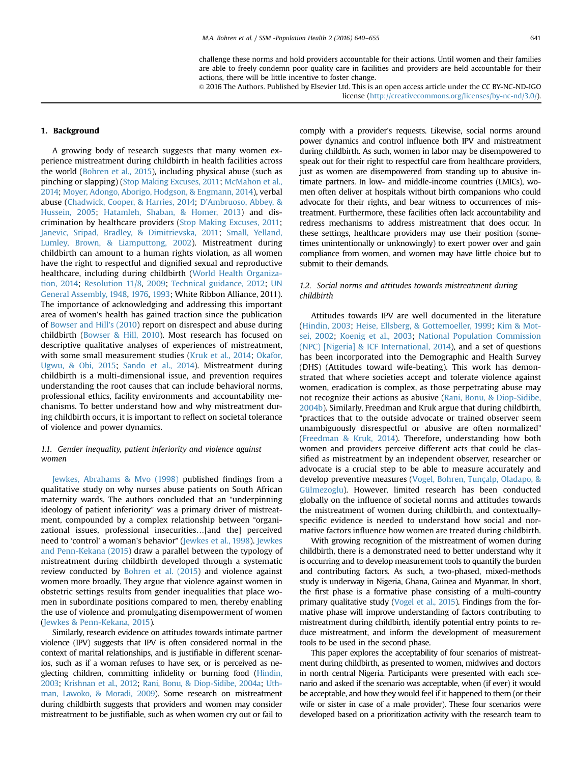challenge these norms and hold providers accountable for their actions. Until women and their families are able to freely condemn poor quality care in facilities and providers are held accountable for their actions, there will be little incentive to foster change.

& 2016 The Authors. Published by Elsevier Ltd. This is an open access article under the CC BY-NC-ND-IGO license (http://creativecommons.org/licenses/by-nc-nd/3.0/).

### 1. Background

A growing body of research suggests that many women experience mistreatment during childbirth in health facilities across the world ([Bohren et al., 2015\)](#page-14-0), including physical abuse (such as pinching or slapping) ([Stop Making Excuses, 2011;](#page-15-0) [McMahon et al.,](#page-15-0) [2014;](#page-15-0) [Moyer, Adongo, Aborigo, Hodgson,](#page-15-0) & [Engmann, 2014](#page-15-0)), verbal abuse [\(Chadwick, Cooper,](#page-14-0) [& Harries, 2014](#page-14-0); [D'Ambruoso, Abbey, &](#page-14-0) [Hussein, 2005](#page-14-0); [Hatamleh, Shaban, & Homer, 2013\)](#page-15-0) and discrimination by healthcare providers ([Stop Making Excuses, 2011;](#page-15-0) [Janevic, Sripad, Bradley,](#page-15-0) & [Dimitrievska, 2011;](#page-15-0) [Small, Yelland,](#page-15-0) [Lumley, Brown,](#page-15-0) [& Liamputtong, 2002](#page-15-0)). Mistreatment during childbirth can amount to a human rights violation, as all women have the right to respectful and dignified sexual and reproductive healthcare, including during childbirth [\(World Health Organiza](#page-15-0)[tion, 2014](#page-15-0); [Resolution 11/8](#page-15-0), [2009](#page-15-0); [Technical guidance, 2012](#page-15-0); [UN](#page-15-0) [General Assembly, 1948](#page-15-0), [1976](#page-15-0), [1993;](#page-15-0) White Ribbon Alliance, 2011). The importance of acknowledging and addressing this important area of women's health has gained traction since the publication of [Bowser and Hill's \(2010](#page-14-0)) report on disrespect and abuse during childbirth ([Bowser & Hill, 2010\)](#page-14-0). Most research has focused on descriptive qualitative analyses of experiences of mistreatment, with some small measurement studies ([Kruk et al., 2014;](#page-15-0) [Okafor,](#page-15-0) [Ugwu, & Obi, 2015](#page-15-0); [Sando et al., 2014](#page-15-0)). Mistreatment during childbirth is a multi-dimensional issue, and prevention requires understanding the root causes that can include behavioral norms, professional ethics, facility environments and accountability mechanisms. To better understand how and why mistreatment during childbirth occurs, it is important to reflect on societal tolerance of violence and power dynamics.

## 1.1. Gender inequality, patient inferiority and violence against women

[Jewkes, Abrahams & Mvo \(1998\)](#page-15-0) published findings from a qualitative study on why nurses abuse patients on South African maternity wards. The authors concluded that an "underpinning ideology of patient inferiority" was a primary driver of mistreatment, compounded by a complex relationship between "organizational issues, professional insecurities…[and the] perceived need to 'control' a woman's behavior" ([Jewkes et al., 1998\)](#page-15-0). [Jewkes](#page-15-0) [and Penn-Kekana \(2015\)](#page-15-0) draw a parallel between the typology of mistreatment during childbirth developed through a systematic review conducted by [Bohren et al. \(2015\)](#page-14-0) and violence against women more broadly. They argue that violence against women in obstetric settings results from gender inequalities that place women in subordinate positions compared to men, thereby enabling the use of violence and promulgating disempowerment of women ([Jewkes & Penn-Kekana, 2015\)](#page-15-0).

Similarly, research evidence on attitudes towards intimate partner violence (IPV) suggests that IPV is often considered normal in the context of marital relationships, and is justifiable in different scenarios, such as if a woman refuses to have sex, or is perceived as neglecting children, committing infidelity or burning food [\(Hindin,](#page-15-0) [2003;](#page-15-0) [Krishnan et al., 2012;](#page-15-0) [Rani, Bonu, & Diop-Sidibe, 2004a](#page-15-0); [Uth](#page-15-0)[man, Lawoko, & Moradi, 2009\)](#page-15-0). Some research on mistreatment during childbirth suggests that providers and women may consider mistreatment to be justifiable, such as when women cry out or fail to

comply with a provider's requests. Likewise, social norms around power dynamics and control influence both IPV and mistreatment during childbirth. As such, women in labor may be disempowered to speak out for their right to respectful care from healthcare providers, just as women are disempowered from standing up to abusive intimate partners. In low- and middle-income countries (LMICs), women often deliver at hospitals without birth companions who could advocate for their rights, and bear witness to occurrences of mistreatment. Furthermore, these facilities often lack accountability and redress mechanisms to address mistreatment that does occur. In these settings, healthcare providers may use their position (sometimes unintentionally or unknowingly) to exert power over and gain compliance from women, and women may have little choice but to submit to their demands.

## 1.2. Social norms and attitudes towards mistreatment during childbirth

Attitudes towards IPV are well documented in the literature ([Hindin, 2003](#page-15-0); [Heise, Ellsberg, & Gottemoeller, 1999](#page-15-0); [Kim](#page-15-0) & [Mot](#page-15-0)[sei, 2002;](#page-15-0) [Koenig et al., 2003;](#page-15-0) [National Population Commission](#page-15-0) [\(NPC\) \[Nigeria\] & ICF International, 2014\)](#page-15-0), and a set of questions has been incorporated into the Demographic and Health Survey (DHS) (Attitudes toward wife-beating). This work has demonstrated that where societies accept and tolerate violence against women, eradication is complex, as those perpetrating abuse may not recognize their actions as abusive ([Rani, Bonu, & Diop-Sidibe,](#page-15-0) [2004b\)](#page-15-0). Similarly, Freedman and Kruk argue that during childbirth, "practices that to the outside advocate or trained observer seem unambiguously disrespectful or abusive are often normalized" ([Freedman & Kruk, 2014\)](#page-15-0). Therefore, understanding how both women and providers perceive different acts that could be classified as mistreatment by an independent observer, researcher or advocate is a crucial step to be able to measure accurately and develop preventive measures ([Vogel, Bohren, Tunçalp, Oladapo, &](#page-15-0) [Gülmezoglu](#page-15-0)). However, limited research has been conducted globally on the influence of societal norms and attitudes towards the mistreatment of women during childbirth, and contextuallyspecific evidence is needed to understand how social and normative factors influence how women are treated during childbirth.

With growing recognition of the mistreatment of women during childbirth, there is a demonstrated need to better understand why it is occurring and to develop measurement tools to quantify the burden and contributing factors. As such, a two-phased, mixed-methods study is underway in Nigeria, Ghana, Guinea and Myanmar. In short, the first phase is a formative phase consisting of a multi-country primary qualitative study [\(Vogel et al., 2015](#page-15-0)). Findings from the formative phase will improve understanding of factors contributing to mistreatment during childbirth, identify potential entry points to reduce mistreatment, and inform the development of measurement tools to be used in the second phase.

This paper explores the acceptability of four scenarios of mistreatment during childbirth, as presented to women, midwives and doctors in north central Nigeria. Participants were presented with each scenario and asked if the scenario was acceptable, when (if ever) it would be acceptable, and how they would feel if it happened to them (or their wife or sister in case of a male provider). These four scenarios were developed based on a prioritization activity with the research team to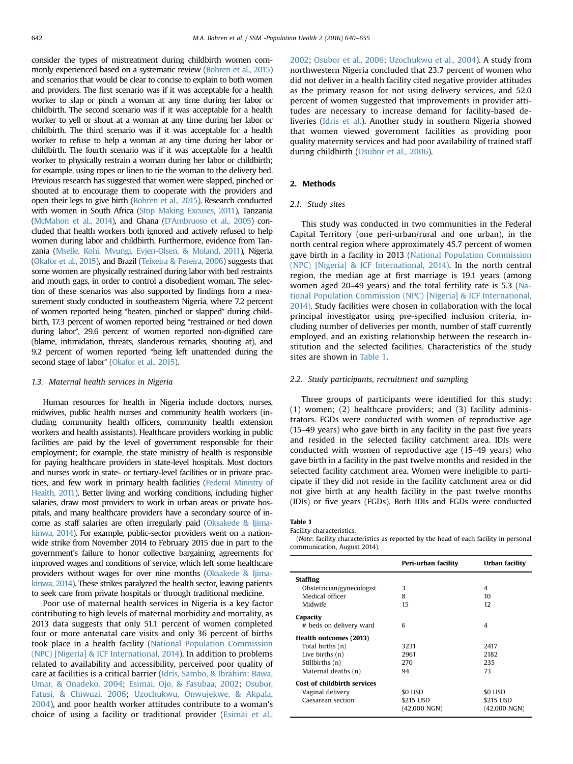consider the types of mistreatment during childbirth women commonly experienced based on a systematic review [\(Bohren et al., 2015\)](#page-14-0) and scenarios that would be clear to concise to explain to both women and providers. The first scenario was if it was acceptable for a health worker to slap or pinch a woman at any time during her labor or childbirth. The second scenario was if it was acceptable for a health worker to yell or shout at a woman at any time during her labor or childbirth. The third scenario was if it was acceptable for a health worker to refuse to help a woman at any time during her labor or childbirth. The fourth scenario was if it was acceptable for a health worker to physically restrain a woman during her labor or childbirth; for example, using ropes or linen to tie the woman to the delivery bed. Previous research has suggested that women were slapped, pinched or shouted at to encourage them to cooperate with the providers and open their legs to give birth ([Bohren et al., 2015](#page-14-0)). Research conducted with women in South Africa [\(Stop Making Excuses, 2011](#page-15-0)), Tanzania [\(McMahon et al., 2014](#page-15-0)), and Ghana [\(D'Ambruoso et al., 2005](#page-14-0)) concluded that health workers both ignored and actively refused to help women during labor and childbirth. Furthermore, evidence from Tanzania [\(Mselle, Kohi, Mvungi, Evjen-Olsen,](#page-15-0) & [Moland, 2011\)](#page-15-0), Nigeria [\(Okafor et al., 2015\)](#page-15-0), and Brazil [\(Teixeira & Pereira, 2006\)](#page-15-0) suggests that some women are physically restrained during labor with bed restraints and mouth gags, in order to control a disobedient woman. The selection of these scenarios was also supported by findings from a measurement study conducted in southeastern Nigeria, where 7.2 percent of women reported being "beaten, pinched or slapped" during childbirth, 17.3 percent of women reported being "restrained or tied down during labor", 29.6 percent of women reported non-dignified care (blame, intimidation, threats, slanderous remarks, shouting at), and 9.2 percent of women reported "being left unattended during the second stage of labor" ([Okafor et al., 2015\)](#page-15-0).

#### 1.3. Maternal health services in Nigeria

Human resources for health in Nigeria include doctors, nurses, midwives, public health nurses and community health workers (including community health officers, community health extension workers and health assistants). Healthcare providers working in public facilities are paid by the level of government responsible for their employment; for example, the state ministry of health is responsible for paying healthcare providers in state-level hospitals. Most doctors and nurses work in state- or tertiary-level facilities or in private practices, and few work in primary health facilities [\(Federal Ministry of](#page-15-0) [Health, 2011\)](#page-15-0). Better living and working conditions, including higher salaries, draw most providers to work in urban areas or private hospitals, and many healthcare providers have a secondary source of income as staff salaries are often irregularly paid [\(Oksakede & Ijima](#page-15-0)[kinwa, 2014\)](#page-15-0). For example, public-sector providers went on a nationwide strike from November 2014 to February 2015 due in part to the government's failure to honor collective bargaining agreements for improved wages and conditions of service, which left some healthcare providers without wages for over nine months [\(Oksakede & Ijima](#page-15-0)[kinwa, 2014\)](#page-15-0). These strikes paralyzed the health sector, leaving patients to seek care from private hospitals or through traditional medicine.

Poor use of maternal health services in Nigeria is a key factor contributing to high levels of maternal morbidity and mortality, as 2013 data suggests that only 51.1 percent of women completed four or more antenatal care visits and only 36 percent of births took place in a health facility ([National Population Commission](#page-15-0) [\(NPC\) \[Nigeria\]](#page-15-0) [& ICF International, 2014\)](#page-15-0). In addition to problems related to availability and accessibility, perceived poor quality of care at facilities is a critical barrier ([Idris, Sambo, & Ibrahim; Bawa,](#page-15-0) [Umar,](#page-15-0) & [Onadeko, 2004](#page-15-0); [Esimai, Ojo, & Fasubaa, 2002](#page-14-0); [Osubor,](#page-15-0) [Fatusi,](#page-15-0) & [Chiwuzi, 2006](#page-15-0); [Uzochukwu, Onwujekwe, & Akpala,](#page-15-0) [2004](#page-15-0)), and poor health worker attitudes contribute to a woman's choice of using a facility or traditional provider [\(Esimai et al.,](#page-15-0) [2002;](#page-15-0) [Osubor et al., 2006](#page-15-0); [Uzochukwu et al., 2004\)](#page-15-0). A study from northwestern Nigeria concluded that 23.7 percent of women who did not deliver in a health facility cited negative provider attitudes as the primary reason for not using delivery services, and 52.0 percent of women suggested that improvements in provider attitudes are necessary to increase demand for facility-based deliveries ([Idris et al.\)](#page-15-0). Another study in southern Nigeria showed that women viewed government facilities as providing poor quality maternity services and had poor availability of trained staff during childbirth ([Osubor et al., 2006](#page-15-0)).

# 2. Methods

#### 2.1. Study sites

This study was conducted in two communities in the Federal Capital Territory (one peri-urban/rural and one urban), in the north central region where approximately 45.7 percent of women gave birth in a facility in 2013 ([National Population Commission](#page-15-0) [\(NPC\) \[Nigeria\] & ICF International, 2014\).](#page-15-0) In the north central region, the median age at first marriage is 19.1 years (among women aged 20–49 years) and the total fertility rate is 5.3 [\(Na](#page-15-0)[tional Population Commission \(NPC\) \[Nigeria\]](#page-15-0) & [ICF International,](#page-15-0) [2014\).](#page-15-0) Study facilities were chosen in collaboration with the local principal investigator using pre-specified inclusion criteria, including number of deliveries per month, number of staff currently employed, and an existing relationship between the research institution and the selected facilities. Characteristics of the study sites are shown in Table 1.

#### 2.2. Study participants, recruitment and sampling

Three groups of participants were identified for this study: (1) women; (2) healthcare providers; and (3) facility administrators. FGDs were conducted with women of reproductive age (15–49 years) who gave birth in any facility in the past five years and resided in the selected facility catchment area. IDIs were conducted with women of reproductive age (15–49 years) who gave birth in a facility in the past twelve months and resided in the selected facility catchment area. Women were ineligible to participate if they did not reside in the facility catchment area or did not give birth at any health facility in the past twelve months (IDIs) or five years (FGDs). Both IDIs and FGDs were conducted

#### Table 1 Facility characteristics.

(Note: facility characteristics as reported by the head of each facility in personal communication, August 2014).

|                             | Peri-urban facility | Urban facility |  |  |  |
|-----------------------------|---------------------|----------------|--|--|--|
| Staffing                    |                     |                |  |  |  |
| Obstetrician/gynecologist   | 3                   | 4              |  |  |  |
| Medical officer             | 8                   | 10             |  |  |  |
| Midwife                     | 15                  | 12             |  |  |  |
| Capacity                    |                     |                |  |  |  |
| # beds on delivery ward     | 6                   | 4              |  |  |  |
| Health outcomes (2013)      |                     |                |  |  |  |
| Total births (n)            | 3231                | 2417           |  |  |  |
| Live births $(n)$           | 2961                | 2182           |  |  |  |
| Stillbirths (n)             | 270                 | 235            |  |  |  |
| Maternal deaths (n)         | 94                  | 73             |  |  |  |
| Cost of childbirth services |                     |                |  |  |  |
| Vaginal delivery            | \$0 USD             | \$0 USD        |  |  |  |
| Caesarean section           | \$215 USD           | \$215 USD      |  |  |  |
|                             | (42.000 NGN)        | (42.000 NGN)   |  |  |  |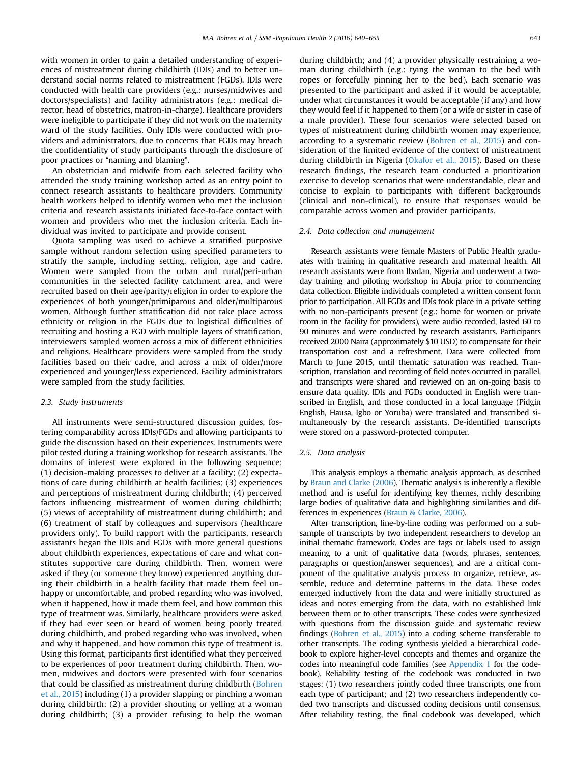with women in order to gain a detailed understanding of experiences of mistreatment during childbirth (IDIs) and to better understand social norms related to mistreatment (FGDs). IDIs were conducted with health care providers (e.g.: nurses/midwives and doctors/specialists) and facility administrators (e.g.: medical director, head of obstetrics, matron-in-charge). Healthcare providers were ineligible to participate if they did not work on the maternity ward of the study facilities. Only IDIs were conducted with providers and administrators, due to concerns that FGDs may breach the confidentiality of study participants through the disclosure of poor practices or "naming and blaming".

An obstetrician and midwife from each selected facility who attended the study training workshop acted as an entry point to connect research assistants to healthcare providers. Community health workers helped to identify women who met the inclusion criteria and research assistants initiated face-to-face contact with women and providers who met the inclusion criteria. Each individual was invited to participate and provide consent.

Quota sampling was used to achieve a stratified purposive sample without random selection using specified parameters to stratify the sample, including setting, religion, age and cadre. Women were sampled from the urban and rural/peri-urban communities in the selected facility catchment area, and were recruited based on their age/parity/religion in order to explore the experiences of both younger/primiparous and older/multiparous women. Although further stratification did not take place across ethnicity or religion in the FGDs due to logistical difficulties of recruiting and hosting a FGD with multiple layers of stratification, interviewers sampled women across a mix of different ethnicities and religions. Healthcare providers were sampled from the study facilities based on their cadre, and across a mix of older/more experienced and younger/less experienced. Facility administrators were sampled from the study facilities.

#### 2.3. Study instruments

All instruments were semi-structured discussion guides, fostering comparability across IDIs/FGDs and allowing participants to guide the discussion based on their experiences. Instruments were pilot tested during a training workshop for research assistants. The domains of interest were explored in the following sequence: (1) decision-making processes to deliver at a facility; (2) expectations of care during childbirth at health facilities; (3) experiences and perceptions of mistreatment during childbirth; (4) perceived factors influencing mistreatment of women during childbirth; (5) views of acceptability of mistreatment during childbirth; and (6) treatment of staff by colleagues and supervisors (healthcare providers only). To build rapport with the participants, research assistants began the IDIs and FGDs with more general questions about childbirth experiences, expectations of care and what constitutes supportive care during childbirth. Then, women were asked if they (or someone they know) experienced anything during their childbirth in a health facility that made them feel unhappy or uncomfortable, and probed regarding who was involved, when it happened, how it made them feel, and how common this type of treatment was. Similarly, healthcare providers were asked if they had ever seen or heard of women being poorly treated during childbirth, and probed regarding who was involved, when and why it happened, and how common this type of treatment is. Using this format, participants first identified what they perceived to be experiences of poor treatment during childbirth. Then, women, midwives and doctors were presented with four scenarios that could be classified as mistreatment during childbirth [\(Bohren](#page-14-0) [et al., 2015\)](#page-14-0) including (1) a provider slapping or pinching a woman during childbirth; (2) a provider shouting or yelling at a woman during childbirth; (3) a provider refusing to help the woman during childbirth; and (4) a provider physically restraining a woman during childbirth (e.g.: tying the woman to the bed with ropes or forcefully pinning her to the bed). Each scenario was presented to the participant and asked if it would be acceptable, under what circumstances it would be acceptable (if any) and how they would feel if it happened to them (or a wife or sister in case of a male provider). These four scenarios were selected based on types of mistreatment during childbirth women may experience, according to a systematic review [\(Bohren et al., 2015](#page-14-0)) and consideration of the limited evidence of the context of mistreatment during childbirth in Nigeria ([Okafor et al., 2015\)](#page-15-0). Based on these research findings, the research team conducted a prioritization exercise to develop scenarios that were understandable, clear and concise to explain to participants with different backgrounds (clinical and non-clinical), to ensure that responses would be comparable across women and provider participants.

#### 2.4. Data collection and management

Research assistants were female Masters of Public Health graduates with training in qualitative research and maternal health. All research assistants were from Ibadan, Nigeria and underwent a twoday training and piloting workshop in Abuja prior to commencing data collection. Eligible individuals completed a written consent form prior to participation. All FGDs and IDIs took place in a private setting with no non-participants present (e.g.: home for women or private room in the facility for providers), were audio recorded, lasted 60 to 90 minutes and were conducted by research assistants. Participants received 2000 Naira (approximately \$10 USD) to compensate for their transportation cost and a refreshment. Data were collected from March to June 2015, until thematic saturation was reached. Transcription, translation and recording of field notes occurred in parallel, and transcripts were shared and reviewed on an on-going basis to ensure data quality. IDIs and FGDs conducted in English were transcribed in English, and those conducted in a local language (Pidgin English, Hausa, Igbo or Yoruba) were translated and transcribed simultaneously by the research assistants. De-identified transcripts were stored on a password-protected computer.

#### 2.5. Data analysis

This analysis employs a thematic analysis approach, as described by [Braun and Clarke \(2006\)](#page-14-0). Thematic analysis is inherently a flexible method and is useful for identifying key themes, richly describing large bodies of qualitative data and highlighting similarities and differences in experiences [\(Braun](#page-14-0) & [Clarke, 2006](#page-14-0)).

After transcription, line-by-line coding was performed on a subsample of transcripts by two independent researchers to develop an initial thematic framework. Codes are tags or labels used to assign meaning to a unit of qualitative data (words, phrases, sentences, paragraphs or question/answer sequences), and are a critical component of the qualitative analysis process to organize, retrieve, assemble, reduce and determine patterns in the data. These codes emerged inductively from the data and were initially structured as ideas and notes emerging from the data, with no established link between them or to other transcripts. These codes were synthesized with questions from the discussion guide and systematic review findings [\(Bohren et al., 2015\)](#page-14-0) into a coding scheme transferable to other transcripts. The coding synthesis yielded a hierarchical codebook to explore higher-level concepts and themes and organize the codes into meaningful code families (see [Appendix 1](#page-8-0) for the codebook). Reliability testing of the codebook was conducted in two stages: (1) two researchers jointly coded three transcripts, one from each type of participant; and (2) two researchers independently coded two transcripts and discussed coding decisions until consensus. After reliability testing, the final codebook was developed, which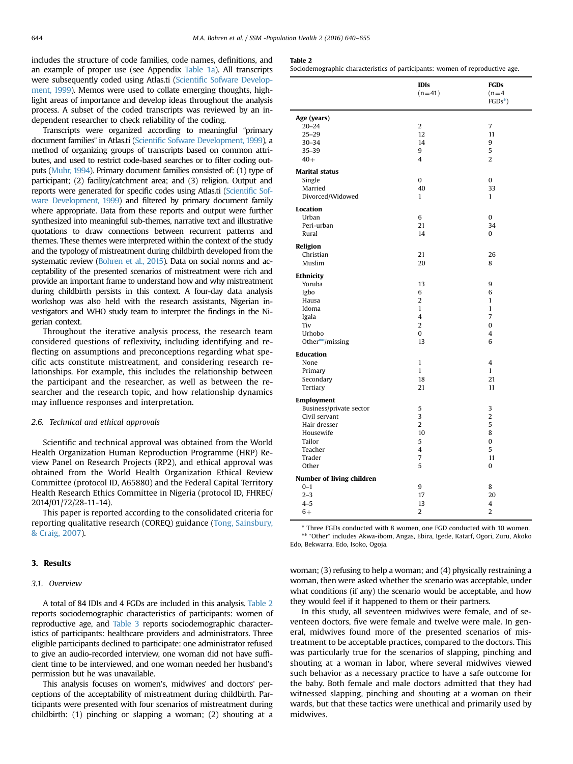includes the structure of code families, code names, definitions, and an example of proper use (see Appendix [Table 1a\)](#page-9-0). All transcripts were subsequently coded using Atlas.ti (Scientifi[c Sofware Develop](#page-15-0)[ment, 1999\)](#page-15-0). Memos were used to collate emerging thoughts, highlight areas of importance and develop ideas throughout the analysis process. A subset of the coded transcripts was reviewed by an independent researcher to check reliability of the coding.

Transcripts were organized according to meaningful "primary document families" in Atlas.ti (Scientifi[c Sofware Development, 1999\)](#page-15-0), a method of organizing groups of transcripts based on common attributes, and used to restrict code-based searches or to filter coding outputs [\(Muhr, 1994](#page-15-0)). Primary document families consisted of: (1) type of participant; (2) facility/catchment area; and (3) religion. Output and reports were generated for specific codes using Atlas.ti [\(Scienti](#page-15-0)fic Sof[ware Development, 1999\)](#page-15-0) and filtered by primary document family where appropriate. Data from these reports and output were further synthesized into meaningful sub-themes, narrative text and illustrative quotations to draw connections between recurrent patterns and themes. These themes were interpreted within the context of the study and the typology of mistreatment during childbirth developed from the systematic review [\(Bohren et al., 2015\)](#page-14-0). Data on social norms and acceptability of the presented scenarios of mistreatment were rich and provide an important frame to understand how and why mistreatment during childbirth persists in this context. A four-day data analysis workshop was also held with the research assistants, Nigerian investigators and WHO study team to interpret the findings in the Nigerian context.

Throughout the iterative analysis process, the research team considered questions of reflexivity, including identifying and reflecting on assumptions and preconceptions regarding what specific acts constitute mistreatment, and considering research relationships. For example, this includes the relationship between the participant and the researcher, as well as between the researcher and the research topic, and how relationship dynamics may influence responses and interpretation.

#### 2.6. Technical and ethical approvals

Scientific and technical approval was obtained from the World Health Organization Human Reproduction Programme (HRP) Review Panel on Research Projects (RP2), and ethical approval was obtained from the World Health Organization Ethical Review Committee (protocol ID, A65880) and the Federal Capital Territory Health Research Ethics Committee in Nigeria (protocol ID, FHREC/ 2014/01/72/28-11-14).

This paper is reported according to the consolidated criteria for reporting qualitative research (COREQ) guidance [\(Tong, Sainsbury,](#page-15-0) [& Craig, 2007](#page-15-0)).

## 3. Results

## 3.1. Overview

A total of 84 IDIs and 4 FGDs are included in this analysis. Table 2 reports sociodemographic characteristics of participants: women of reproductive age, and [Table 3](#page-5-0) reports sociodemographic characteristics of participants: healthcare providers and administrators. Three eligible participants declined to participate: one administrator refused to give an audio-recorded interview, one woman did not have sufficient time to be interviewed, and one woman needed her husband's permission but he was unavailable.

This analysis focuses on women's, midwives' and doctors' perceptions of the acceptability of mistreatment during childbirth. Participants were presented with four scenarios of mistreatment during childbirth: (1) pinching or slapping a woman; (2) shouting at a

#### Table 2

Sociodemographic characteristics of participants: women of reproductive age.

|                                      | <b>IDIs</b><br>$(n=41)$ | <b>FGDs</b><br>$(n=4)$ |
|--------------------------------------|-------------------------|------------------------|
|                                      |                         | $FGDs^*$ )             |
| Age (years)                          |                         |                        |
| $20 - 24$                            | $\overline{2}$          | $\overline{7}$         |
| $25 - 29$                            | 12                      | 11                     |
| $30 - 34$                            | 14                      | 9                      |
| $35 - 39$                            | 9                       | 5                      |
| $40+$                                | $\overline{4}$          | $\overline{2}$         |
| <b>Marital status</b>                |                         |                        |
| Single                               | 0                       | 0                      |
| Married                              | 40                      | 33                     |
| Divorced/Widowed                     | $\mathbf{1}$            | $\mathbf{1}$           |
| Location                             |                         |                        |
| Urban                                | 6                       | 0                      |
| Peri-urban                           | 21                      | 34                     |
| Rural                                | 14                      | $\Omega$               |
| Religion                             |                         |                        |
| Christian                            | 21                      | 26                     |
| Muslim                               | 20                      | 8                      |
| Ethnicity                            |                         |                        |
| Yoruba                               | 13                      | 9                      |
| Igbo                                 | 6                       | 6                      |
| Hausa                                | $\overline{2}$          | $\mathbf{1}$           |
| Idoma                                | $\mathbf{1}$            | $\mathbf{1}$           |
| Igala                                | $\overline{4}$          | 7                      |
| Tiv                                  | $\overline{2}$          | 0                      |
| Urhobo                               | $\mathbf{0}$            | 4                      |
| Other**/missing                      | 13                      | 6                      |
| Education                            |                         |                        |
| None                                 | $\mathbf{1}$            | 4                      |
| Primary                              | $\mathbf{1}$            | $\mathbf{1}$           |
| Secondary                            | 18                      | 21                     |
| Tertiary                             | 21                      | 11                     |
| Employment                           |                         |                        |
| Business/private sector              | 5                       | 3                      |
| Civil servant                        | 3                       | $\overline{2}$         |
| Hair dresser                         | $\overline{2}$          | 5                      |
| Housewife                            | 10                      | 8                      |
| Tailor                               | 5                       | 0                      |
| Teacher                              | $\overline{4}$          | 5                      |
| Trader<br>Other                      | 7<br>5                  | 11<br>0                |
|                                      |                         |                        |
| Number of living children<br>$0 - 1$ | 9                       | 8                      |
| $2 - 3$                              | 17                      | 20                     |
| $4 - 5$                              | 13                      | 4                      |
| $6+$                                 | $\overline{2}$          | $\overline{2}$         |
|                                      |                         |                        |

\* Three FGDs conducted with 8 women, one FGD conducted with 10 women. \* "Other" includes Akwa-ibom, Angas, Ebira, Igede, Katarf, Ogori, Zuru, Akoko Edo, Bekwarra, Edo, Isoko, Ogoja.

woman; (3) refusing to help a woman; and (4) physically restraining a woman, then were asked whether the scenario was acceptable, under what conditions (if any) the scenario would be acceptable, and how they would feel if it happened to them or their partners.

In this study, all seventeen midwives were female, and of seventeen doctors, five were female and twelve were male. In general, midwives found more of the presented scenarios of mistreatment to be acceptable practices, compared to the doctors. This was particularly true for the scenarios of slapping, pinching and shouting at a woman in labor, where several midwives viewed such behavior as a necessary practice to have a safe outcome for the baby. Both female and male doctors admitted that they had witnessed slapping, pinching and shouting at a woman on their wards, but that these tactics were unethical and primarily used by midwives.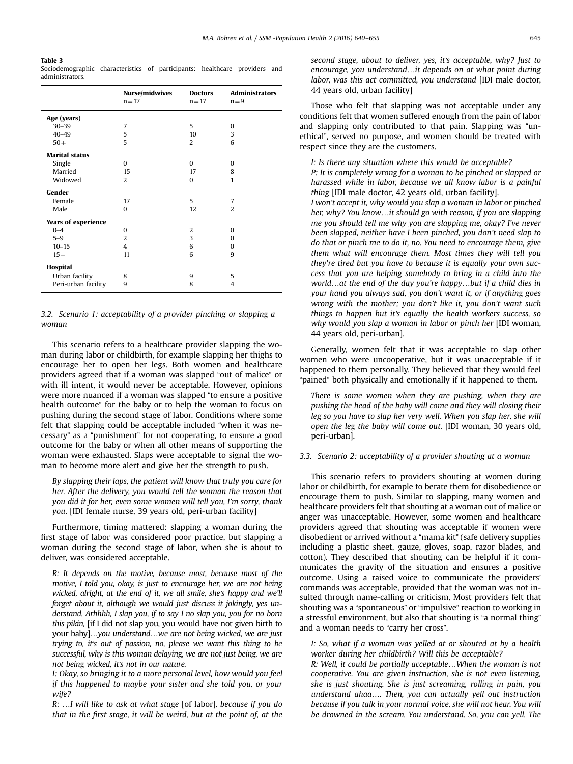#### <span id="page-5-0"></span>Table 3

Sociodemographic characteristics of participants: healthcare providers and administrators.

|                            | Nurse/midwives<br>$n = 17$ | <b>Doctors</b><br>$n = 17$ | <b>Administrators</b><br>$n = 9$ |
|----------------------------|----------------------------|----------------------------|----------------------------------|
| Age (years)                |                            |                            |                                  |
| $30 - 39$                  | 7                          | 5                          | $\Omega$                         |
| $40 - 49$                  | 5                          | 10                         | 3                                |
| $50+$                      | 5                          | $\overline{2}$             | 6                                |
| <b>Marital status</b>      |                            |                            |                                  |
| Single                     | $\Omega$                   | $\Omega$                   | $\Omega$                         |
| Married                    | 15                         | 17                         | 8                                |
| Widowed                    | $\overline{2}$             | $\Omega$                   | 1                                |
| Gender                     |                            |                            |                                  |
| Female                     | 17                         | 5                          | 7                                |
| Male                       | $\Omega$                   | 12                         | $\overline{2}$                   |
| <b>Years of experience</b> |                            |                            |                                  |
| $0 - 4$                    | $\Omega$                   | $\overline{2}$             | $\Omega$                         |
| $5 - 9$                    | $\overline{2}$             | 3                          | $\Omega$                         |
| $10 - 15$                  | 4                          | 6                          | $\Omega$                         |
| $15+$                      | 11                         | 6                          | 9                                |
| Hospital                   |                            |                            |                                  |
| Urban facility             | 8                          | 9                          | 5                                |
| Peri-urban facility        | 9                          | 8                          | $\overline{4}$                   |

3.2. Scenario 1: acceptability of a provider pinching or slapping a woman

This scenario refers to a healthcare provider slapping the woman during labor or childbirth, for example slapping her thighs to encourage her to open her legs. Both women and healthcare providers agreed that if a woman was slapped "out of malice" or with ill intent, it would never be acceptable. However, opinions were more nuanced if a woman was slapped "to ensure a positive health outcome" for the baby or to help the woman to focus on pushing during the second stage of labor. Conditions where some felt that slapping could be acceptable included "when it was necessary" as a "punishment" for not cooperating, to ensure a good outcome for the baby or when all other means of supporting the woman were exhausted. Slaps were acceptable to signal the woman to become more alert and give her the strength to push.

By slapping their laps, the patient will know that truly you care for her. After the delivery, you would tell the woman the reason that you did it for her, even some women will tell you, I'm sorry, thank you. [IDI female nurse, 39 years old, peri-urban facility]

Furthermore, timing mattered: slapping a woman during the first stage of labor was considered poor practice, but slapping a woman during the second stage of labor, when she is about to deliver, was considered acceptable.

R: It depends on the motive, because most, because most of the motive, I told you, okay, is just to encourage her, we are not being wicked, alright, at the end of it, we all smile, she's happy and we'll forget about it, although we would just discuss it jokingly, yes understand. Arhhhh, I slap you, if to say I no slap you, you for no born this pikin, [if I did not slap you, you would have not given birth to your baby]…you understand…we are not being wicked, we are just trying to, it's out of passion, no, please we want this thing to be successful, why is this woman delaying, we are not just being, we are not being wicked, it's not in our nature.

I: Okay, so bringing it to a more personal level, how would you feel if this happened to maybe your sister and she told you, or your wife?

R: …I will like to ask at what stage [of labor], because if you do that in the first stage, it will be weird, but at the point of, at the second stage, about to deliver, yes, it's acceptable, why? Just to encourage, you understand…it depends on at what point during labor, was this act committed, you understand [IDI male doctor, 44 years old, urban facility]

Those who felt that slapping was not acceptable under any conditions felt that women suffered enough from the pain of labor and slapping only contributed to that pain. Slapping was "unethical", served no purpose, and women should be treated with respect since they are the customers.

I: Is there any situation where this would be acceptable?

P: It is completely wrong for a woman to be pinched or slapped or harassed while in labor, because we all know labor is a painful thing [IDI male doctor, 42 years old, urban facility].

I won't accept it, why would you slap a woman in labor or pinched her, why? You know…it should go with reason, if you are slapping me you should tell me why you are slapping me, okay? I've never been slapped, neither have I been pinched, you don't need slap to do that or pinch me to do it, no. You need to encourage them, give them what will encourage them. Most times they will tell you they're tired but you have to because it is equally your own success that you are helping somebody to bring in a child into the world…at the end of the day you're happy…but if a child dies in your hand you always sad, you don't want it, or if anything goes wrong with the mother; you don't like it, you don't want such things to happen but it's equally the health workers success, so why would you slap a woman in labor or pinch her [IDI woman, 44 years old, peri-urban].

Generally, women felt that it was acceptable to slap other women who were uncooperative, but it was unacceptable if it happened to them personally. They believed that they would feel "pained" both physically and emotionally if it happened to them.

There is some women when they are pushing, when they are pushing the head of the baby will come and they will closing their leg so you have to slap her very well. When you slap her, she will open the leg the baby will come out. [IDI woman, 30 years old, peri-urban].

#### 3.3. Scenario 2: acceptability of a provider shouting at a woman

This scenario refers to providers shouting at women during labor or childbirth, for example to berate them for disobedience or encourage them to push. Similar to slapping, many women and healthcare providers felt that shouting at a woman out of malice or anger was unacceptable. However, some women and healthcare providers agreed that shouting was acceptable if women were disobedient or arrived without a "mama kit" (safe delivery supplies including a plastic sheet, gauze, gloves, soap, razor blades, and cotton). They described that shouting can be helpful if it communicates the gravity of the situation and ensures a positive outcome. Using a raised voice to communicate the providers' commands was acceptable, provided that the woman was not insulted through name-calling or criticism. Most providers felt that shouting was a "spontaneous" or "impulsive" reaction to working in a stressful environment, but also that shouting is "a normal thing" and a woman needs to "carry her cross".

I: So, what if a woman was yelled at or shouted at by a health worker during her childbirth? Will this be acceptable?

R: Well, it could be partially acceptable…When the woman is not cooperative. You are given instruction, she is not even listening, she is just shouting. She is just screaming, rolling in pain, you understand ahaa…. Then, you can actually yell out instruction because if you talk in your normal voice, she will not hear. You will be drowned in the scream. You understand. So, you can yell. The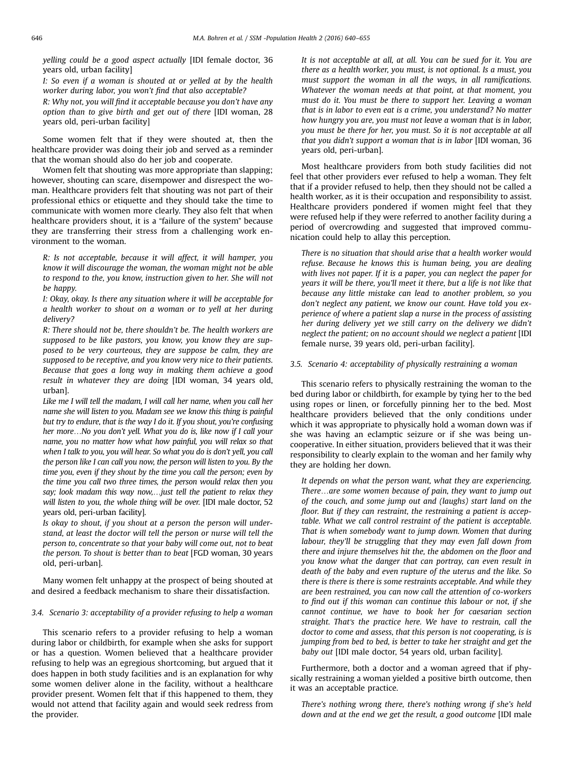yelling could be a good aspect actually [IDI female doctor, 36 years old, urban facility]

I: So even if a woman is shouted at or yelled at by the health worker during labor, you won't find that also acceptable?

R: Why not, you will find it acceptable because you don't have any option than to give birth and get out of there [IDI woman, 28 years old, peri-urban facility]

Some women felt that if they were shouted at, then the healthcare provider was doing their job and served as a reminder that the woman should also do her job and cooperate.

Women felt that shouting was more appropriate than slapping; however, shouting can scare, disempower and disrespect the woman. Healthcare providers felt that shouting was not part of their professional ethics or etiquette and they should take the time to communicate with women more clearly. They also felt that when healthcare providers shout, it is a "failure of the system" because they are transferring their stress from a challenging work environment to the woman.

R: Is not acceptable, because it will affect, it will hamper, you know it will discourage the woman, the woman might not be able to respond to the, you know, instruction given to her. She will not be happy.

I: Okay, okay. Is there any situation where it will be acceptable for a health worker to shout on a woman or to yell at her during delivery?

R: There should not be, there shouldn't be. The health workers are supposed to be like pastors, you know, you know they are supposed to be very courteous, they are suppose be calm, they are supposed to be receptive, and you know very nice to their patients. Because that goes a long way in making them achieve a good result in whatever they are doing [IDI woman, 34 years old, urban].

Like me I will tell the madam, I will call her name, when you call her name she will listen to you. Madam see we know this thing is painful but try to endure, that is the way I do it. If you shout, you're confusing her more...No you don't yell. What you do is, like now if I call your name, you no matter how what how painful, you will relax so that when I talk to you, you will hear. So what you do is don't yell, you call the person like I can call you now, the person will listen to you. By the time you, even if they shout by the time you call the person; even by the time you call two three times, the person would relax then you say; look madam this way now,...just tell the patient to relax they will listen to you, the whole thing will be over. [IDI male doctor, 52 years old, peri-urban facility].

Is okay to shout, if you shout at a person the person will understand, at least the doctor will tell the person or nurse will tell the person to, concentrate so that your baby will come out, not to beat the person. To shout is better than to beat [FGD woman, 30 years old, peri-urban].

Many women felt unhappy at the prospect of being shouted at and desired a feedback mechanism to share their dissatisfaction.

#### 3.4. Scenario 3: acceptability of a provider refusing to help a woman

This scenario refers to a provider refusing to help a woman during labor or childbirth, for example when she asks for support or has a question. Women believed that a healthcare provider refusing to help was an egregious shortcoming, but argued that it does happen in both study facilities and is an explanation for why some women deliver alone in the facility, without a healthcare provider present. Women felt that if this happened to them, they would not attend that facility again and would seek redress from the provider.

It is not acceptable at all, at all. You can be sued for it. You are there as a health worker, you must, is not optional. Is a must, you must support the woman in all the ways, in all ramifications. Whatever the woman needs at that point, at that moment, you must do it. You must be there to support her. Leaving a woman that is in labor to even eat is a crime, you understand? No matter how hungry you are, you must not leave a woman that is in labor, you must be there for her, you must. So it is not acceptable at all that you didn't support a woman that is in labor [IDI woman, 36 years old, peri-urban].

Most healthcare providers from both study facilities did not feel that other providers ever refused to help a woman. They felt that if a provider refused to help, then they should not be called a health worker, as it is their occupation and responsibility to assist. Healthcare providers pondered if women might feel that they were refused help if they were referred to another facility during a period of overcrowding and suggested that improved communication could help to allay this perception.

There is no situation that should arise that a health worker would refuse. Because he knows this is human being, you are dealing with lives not paper. If it is a paper, you can neglect the paper for years it will be there, you'll meet it there, but a life is not like that because any little mistake can lead to another problem, so you don't neglect any patient, we know our count. Have told you experience of where a patient slap a nurse in the process of assisting her during delivery yet we still carry on the delivery we didn't neglect the patient; on no account should we neglect a patient [IDI female nurse, 39 years old, peri-urban facility].

#### 3.5. Scenario 4: acceptability of physically restraining a woman

This scenario refers to physically restraining the woman to the bed during labor or childbirth, for example by tying her to the bed using ropes or linen, or forcefully pinning her to the bed. Most healthcare providers believed that the only conditions under which it was appropriate to physically hold a woman down was if she was having an eclamptic seizure or if she was being uncooperative. In either situation, providers believed that it was their responsibility to clearly explain to the woman and her family why they are holding her down.

It depends on what the person want, what they are experiencing. There…are some women because of pain, they want to jump out of the couch, and some jump out and (laughs) start land on the floor. But if they can restraint, the restraining a patient is acceptable. What we call control restraint of the patient is acceptable. That is when somebody want to jump down. Women that during labour, they'll be struggling that they may even fall down from there and injure themselves hit the, the abdomen on the floor and you know what the danger that can portray, can even result in death of the baby and even rupture of the uterus and the like. So there is there is there is some restraints acceptable. And while they are been restrained, you can now call the attention of co-workers to find out if this woman can continue this labour or not, if she cannot continue, we have to book her for caesarian section straight. That's the practice here. We have to restrain, call the doctor to come and assess, that this person is not cooperating, is is jumping from bed to bed, is better to take her straight and get the baby out [IDI male doctor, 54 years old, urban facility].

Furthermore, both a doctor and a woman agreed that if physically restraining a woman yielded a positive birth outcome, then it was an acceptable practice.

There's nothing wrong there, there's nothing wrong if she's held down and at the end we get the result, a good outcome [IDI male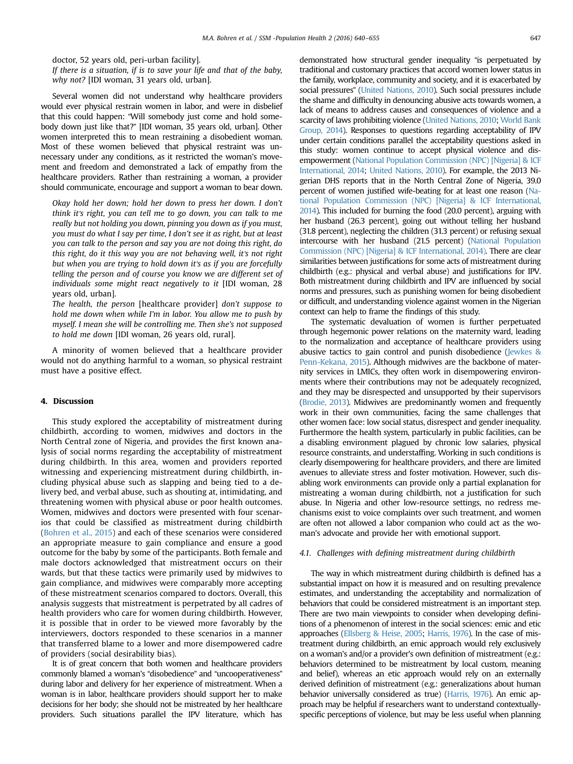doctor, 52 years old, peri-urban facility].

If there is a situation, if is to save your life and that of the baby, why not? [IDI woman, 31 years old, urban].

Several women did not understand why healthcare providers would ever physical restrain women in labor, and were in disbelief that this could happen: "Will somebody just come and hold somebody down just like that?" [IDI woman, 35 years old, urban]. Other women interpreted this to mean restraining a disobedient woman. Most of these women believed that physical restraint was unnecessary under any conditions, as it restricted the woman's movement and freedom and demonstrated a lack of empathy from the healthcare providers. Rather than restraining a woman, a provider should communicate, encourage and support a woman to bear down.

Okay hold her down; hold her down to press her down. I don't think it's right, you can tell me to go down, you can talk to me really but not holding you down, pinning you down as if you must, you must do what I say per time, I don't see it as right, but at least you can talk to the person and say you are not doing this right, do this right, do it this way you are not behaving well, it's not right but when you are trying to hold down it's as if you are forcefully telling the person and of course you know we are different set of individuals some might react negatively to it [IDI woman, 28 years old, urban].

The health, the person [healthcare provider] don't suppose to hold me down when while I'm in labor. You allow me to push by myself. I mean she will be controlling me. Then she's not supposed to hold me down [IDI woman, 26 years old, rural].

A minority of women believed that a healthcare provider would not do anything harmful to a woman, so physical restraint must have a positive effect.

#### 4. Discussion

This study explored the acceptability of mistreatment during childbirth, according to women, midwives and doctors in the North Central zone of Nigeria, and provides the first known analysis of social norms regarding the acceptability of mistreatment during childbirth. In this area, women and providers reported witnessing and experiencing mistreatment during childbirth, including physical abuse such as slapping and being tied to a delivery bed, and verbal abuse, such as shouting at, intimidating, and threatening women with physical abuse or poor health outcomes. Women, midwives and doctors were presented with four scenarios that could be classified as mistreatment during childbirth ([Bohren et al., 2015\)](#page-14-0) and each of these scenarios were considered an appropriate measure to gain compliance and ensure a good outcome for the baby by some of the participants. Both female and male doctors acknowledged that mistreatment occurs on their wards, but that these tactics were primarily used by midwives to gain compliance, and midwives were comparably more accepting of these mistreatment scenarios compared to doctors. Overall, this analysis suggests that mistreatment is perpetrated by all cadres of health providers who care for women during childbirth. However, it is possible that in order to be viewed more favorably by the interviewers, doctors responded to these scenarios in a manner that transferred blame to a lower and more disempowered cadre of providers (social desirability bias).

It is of great concern that both women and healthcare providers commonly blamed a woman's "disobedience" and "uncooperativeness" during labor and delivery for her experience of mistreatment. When a woman is in labor, healthcare providers should support her to make decisions for her body; she should not be mistreated by her healthcare providers. Such situations parallel the IPV literature, which has demonstrated how structural gender inequality "is perpetuated by traditional and customary practices that accord women lower status in the family, workplace, community and society, and it is exacerbated by social pressures" [\(United Nations, 2010](#page-15-0)). Such social pressures include the shame and difficulty in denouncing abusive acts towards women, a lack of means to address causes and consequences of violence and a scarcity of laws prohibiting violence [\(United Nations, 2010;](#page-15-0) [World Bank](#page-15-0) [Group, 2014](#page-15-0)). Responses to questions regarding acceptability of IPV under certain conditions parallel the acceptability questions asked in this study: women continue to accept physical violence and disempowerment [\(National Population Commission \(NPC\) \[Nigeria\] & ICF](#page-15-0) [International, 2014;](#page-15-0) [United Nations, 2010\)](#page-15-0). For example, the 2013 Nigerian DHS reports that in the North Central Zone of Nigeria, 39.0 percent of women justified wife-beating for at least one reason ([Na](#page-15-0)[tional Population Commission \(NPC\) \[Nigeria\] & ICF International,](#page-15-0) [2014\)](#page-15-0). This included for burning the food (20.0 percent), arguing with her husband (26.3 percent), going out without telling her husband (31.8 percent), neglecting the children (31.3 percent) or refusing sexual intercourse with her husband (21.5 percent) [\(National Population](#page-15-0) [Commission \(NPC\) \[Nigeria\] & ICF International, 2014\).](#page-15-0) There are clear similarities between justifications for some acts of mistreatment during childbirth (e.g.: physical and verbal abuse) and justifications for IPV. Both mistreatment during childbirth and IPV are influenced by social norms and pressures, such as punishing women for being disobedient or difficult, and understanding violence against women in the Nigerian context can help to frame the findings of this study.

The systematic devaluation of women is further perpetuated through hegemonic power relations on the maternity ward, leading to the normalization and acceptance of healthcare providers using abusive tactics to gain control and punish disobedience [\(Jewkes &](#page-15-0) [Penn-Kekana, 2015](#page-15-0)). Although midwives are the backbone of maternity services in LMICs, they often work in disempowering environments where their contributions may not be adequately recognized, and they may be disrespected and unsupported by their supervisors [\(Brodie, 2013](#page-14-0)). Midwives are predominantly women and frequently work in their own communities, facing the same challenges that other women face: low social status, disrespect and gender inequality. Furthermore the health system, particularly in public facilities, can be a disabling environment plagued by chronic low salaries, physical resource constraints, and understaffing. Working in such conditions is clearly disempowering for healthcare providers, and there are limited avenues to alleviate stress and foster motivation. However, such disabling work environments can provide only a partial explanation for mistreating a woman during childbirth, not a justification for such abuse. In Nigeria and other low-resource settings, no redress mechanisms exist to voice complaints over such treatment, and women are often not allowed a labor companion who could act as the woman's advocate and provide her with emotional support.

## 4.1. Challenges with defining mistreatment during childbirth

The way in which mistreatment during childbirth is defined has a substantial impact on how it is measured and on resulting prevalence estimates, and understanding the acceptability and normalization of behaviors that could be considered mistreatment is an important step. There are two main viewpoints to consider when developing definitions of a phenomenon of interest in the social sciences: emic and etic approaches [\(Ellsberg & Heise, 2005](#page-14-0); [Harris, 1976\)](#page-15-0). In the case of mistreatment during childbirth, an emic approach would rely exclusively on a woman's and/or a provider's own definition of mistreatment (e.g.: behaviors determined to be mistreatment by local custom, meaning and belief), whereas an etic approach would rely on an externally derived definition of mistreatment (e.g.: generalizations about human behavior universally considered as true) [\(Harris, 1976\)](#page-15-0). An emic approach may be helpful if researchers want to understand contextuallyspecific perceptions of violence, but may be less useful when planning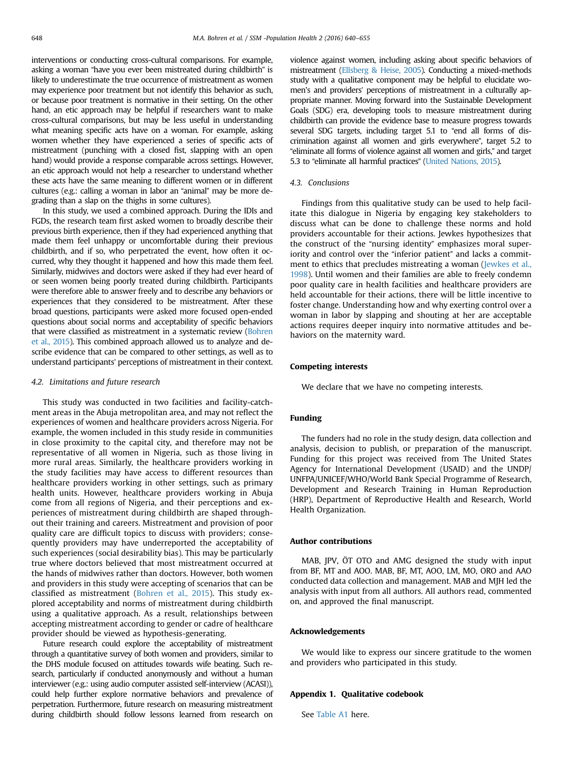<span id="page-8-0"></span>interventions or conducting cross-cultural comparisons. For example, asking a woman "have you ever been mistreated during childbirth" is likely to underestimate the true occurrence of mistreatment as women may experience poor treatment but not identify this behavior as such, or because poor treatment is normative in their setting. On the other hand, an etic approach may be helpful if researchers want to make cross-cultural comparisons, but may be less useful in understanding what meaning specific acts have on a woman. For example, asking women whether they have experienced a series of specific acts of mistreatment (punching with a closed fist, slapping with an open hand) would provide a response comparable across settings. However, an etic approach would not help a researcher to understand whether these acts have the same meaning to different women or in different cultures (e.g.: calling a woman in labor an "animal" may be more degrading than a slap on the thighs in some cultures).

In this study, we used a combined approach. During the IDIs and FGDs, the research team first asked women to broadly describe their previous birth experience, then if they had experienced anything that made them feel unhappy or uncomfortable during their previous childbirth, and if so, who perpetrated the event, how often it occurred, why they thought it happened and how this made them feel. Similarly, midwives and doctors were asked if they had ever heard of or seen women being poorly treated during childbirth. Participants were therefore able to answer freely and to describe any behaviors or experiences that they considered to be mistreatment. After these broad questions, participants were asked more focused open-ended questions about social norms and acceptability of specific behaviors that were classified as mistreatment in a systematic review ([Bohren](#page-14-0) [et al., 2015](#page-14-0)). This combined approach allowed us to analyze and describe evidence that can be compared to other settings, as well as to understand participants' perceptions of mistreatment in their context.

#### 4.2. Limitations and future research

This study was conducted in two facilities and facility-catchment areas in the Abuja metropolitan area, and may not reflect the experiences of women and healthcare providers across Nigeria. For example, the women included in this study reside in communities in close proximity to the capital city, and therefore may not be representative of all women in Nigeria, such as those living in more rural areas. Similarly, the healthcare providers working in the study facilities may have access to different resources than healthcare providers working in other settings, such as primary health units. However, healthcare providers working in Abuja come from all regions of Nigeria, and their perceptions and experiences of mistreatment during childbirth are shaped throughout their training and careers. Mistreatment and provision of poor quality care are difficult topics to discuss with providers; consequently providers may have underreported the acceptability of such experiences (social desirability bias). This may be particularly true where doctors believed that most mistreatment occurred at the hands of midwives rather than doctors. However, both women and providers in this study were accepting of scenarios that can be classified as mistreatment [\(Bohren et al., 2015\)](#page-14-0). This study explored acceptability and norms of mistreatment during childbirth using a qualitative approach. As a result, relationships between accepting mistreatment according to gender or cadre of healthcare provider should be viewed as hypothesis-generating.

Future research could explore the acceptability of mistreatment through a quantitative survey of both women and providers, similar to the DHS module focused on attitudes towards wife beating. Such research, particularly if conducted anonymously and without a human interviewer (e.g.: using audio computer assisted self-interview (ACASI)), could help further explore normative behaviors and prevalence of perpetration. Furthermore, future research on measuring mistreatment during childbirth should follow lessons learned from research on violence against women, including asking about specific behaviors of mistreatment [\(Ellsberg & Heise, 2005\)](#page-14-0). Conducting a mixed-methods study with a qualitative component may be helpful to elucidate women's and providers' perceptions of mistreatment in a culturally appropriate manner. Moving forward into the Sustainable Development Goals (SDG) era, developing tools to measure mistreatment during childbirth can provide the evidence base to measure progress towards several SDG targets, including target 5.1 to "end all forms of discrimination against all women and girls everywhere", target 5.2 to "eliminate all forms of violence against all women and girls," and target 5.3 to "eliminate all harmful practices" [\(United Nations, 2015\)](#page-15-0).

#### 4.3. Conclusions

Findings from this qualitative study can be used to help facilitate this dialogue in Nigeria by engaging key stakeholders to discuss what can be done to challenge these norms and hold providers accountable for their actions. Jewkes hypothesizes that the construct of the "nursing identity" emphasizes moral superiority and control over the "inferior patient" and lacks a commit-ment to ethics that precludes mistreating a woman [\(Jewkes et al.,](#page-15-0) [1998](#page-15-0)). Until women and their families are able to freely condemn poor quality care in health facilities and healthcare providers are held accountable for their actions, there will be little incentive to foster change. Understanding how and why exerting control over a woman in labor by slapping and shouting at her are acceptable actions requires deeper inquiry into normative attitudes and behaviors on the maternity ward.

#### Competing interests

We declare that we have no competing interests.

# Funding

The funders had no role in the study design, data collection and analysis, decision to publish, or preparation of the manuscript. Funding for this project was received from The United States Agency for International Development (USAID) and the UNDP/ UNFPA/UNICEF/WHO/World Bank Special Programme of Research, Development and Research Training in Human Reproduction (HRP), Department of Reproductive Health and Research, World Health Organization.

## Author contributions

MAB, JPV, ÖT OTO and AMG designed the study with input from BF, MT and AOO. MAB, BF, MT, AOO, LM, MO, ORO and AAO conducted data collection and management. MAB and MJH led the analysis with input from all authors. All authors read, commented on, and approved the final manuscript.

#### Acknowledgements

We would like to express our sincere gratitude to the women and providers who participated in this study.

## Appendix 1. Qualitative codebook

See [Table A1](#page-9-0) here.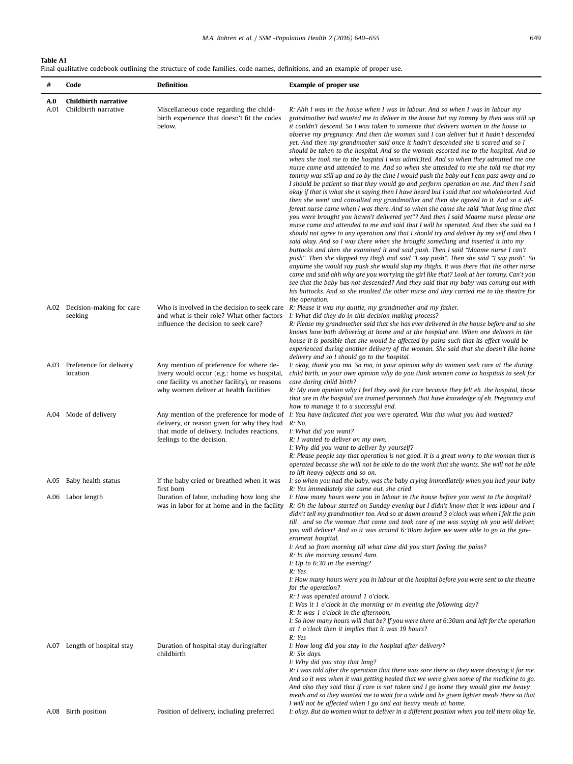# <span id="page-9-0"></span>Table A1

Final qualitative codebook outlining the structure of code families, code names, definitions, and an example of proper use.

| #           | Code                                                | Definition                                                                                                                                                                        | <b>Example of proper use</b>                                                                                                                                                                                                                                                                                                                                                                                                                                                                                                                                                                                                                                                                                                                                                                                                                                                                                                                                                                                                                                                                                                                                                                                                                                                                                                                                                                                                                                                                                                                                                                                                                                                                                                                                                                                                                                                                                                                                                                                                                                                                                              |
|-------------|-----------------------------------------------------|-----------------------------------------------------------------------------------------------------------------------------------------------------------------------------------|---------------------------------------------------------------------------------------------------------------------------------------------------------------------------------------------------------------------------------------------------------------------------------------------------------------------------------------------------------------------------------------------------------------------------------------------------------------------------------------------------------------------------------------------------------------------------------------------------------------------------------------------------------------------------------------------------------------------------------------------------------------------------------------------------------------------------------------------------------------------------------------------------------------------------------------------------------------------------------------------------------------------------------------------------------------------------------------------------------------------------------------------------------------------------------------------------------------------------------------------------------------------------------------------------------------------------------------------------------------------------------------------------------------------------------------------------------------------------------------------------------------------------------------------------------------------------------------------------------------------------------------------------------------------------------------------------------------------------------------------------------------------------------------------------------------------------------------------------------------------------------------------------------------------------------------------------------------------------------------------------------------------------------------------------------------------------------------------------------------------------|
| A.O<br>A.01 | <b>Childbirth narrative</b><br>Childbirth narrative | Miscellaneous code regarding the child-<br>birth experience that doesn't fit the codes<br>below.                                                                                  | R: Ahh I was in the house when I was in labour. And so when I was in labour my<br>grandmother had wanted me to deliver in the house but my tommy by then was still up<br>it couldn't descend. So I was taken to someone that delivers women in the house to<br>observe my pregnancy. And then the woman said I can deliver but it hadn't descended<br>yet. And then my grandmother said once it hadn't descended she is scared and so I<br>should be taken to the hospital. And so the woman escorted me to the hospital. And so<br>when she took me to the hospital I was admit3ted. And so when they admitted me one<br>nurse came and attended to me. And so when she attended to me she told me that my<br>tommy was still up and so by the time I would push the baby out I can pass away and so<br>I should be patient so that they would go and perform operation on me. And then I said<br>okay if that is what she is saying then I have heard but I said that not wholehearted. And<br>then she went and consulted my grandmother and then she agreed to it. And so a dif-<br>ferent nurse came when I was there. And so when she came she said "that long time that<br>you were brought you haven't delivered yet"? And then I said Maame nurse please one<br>nurse came and attended to me and said that I will be operated. And then she said no I<br>should not agree to any operation and that I should try and deliver by my self and then I<br>said okay. And so I was there when she brought something and inserted it into my<br>buttocks and then she examined it and said push. Then I said "Maame nurse I can't<br>push". Then she slapped my thigh and said "I say push". Then she said "I say push". So<br>anytime she would say push she would slap my thighs. It was there that the other nurse<br>came and said ahh why are you worrying the girl like that? Look at her tommy. Can't you<br>see that the baby has not descended? And they said that my baby was coming out with<br>his buttocks. And so she insulted the other nurse and they carried me to the theatre for<br>the operation. |
|             | A.02 Decision-making for care<br>seeking            | Who is involved in the decision to seek care<br>and what is their role? What other factors<br>influence the decision to seek care?                                                | R: Please it was my auntie, my grandmother and my father.<br>I: What did they do in this decision making process?<br>R: Please my grandmother said that she has ever delivered in the house before and so she<br>knows how both delivering at home and at the hospital are. When one delivers in the<br>house it is possible that she would be affected by pains such that its effect would be<br>experienced during another delivery of the woman. She said that she doesn't like home<br>delivery and so I should go to the hospital.                                                                                                                                                                                                                                                                                                                                                                                                                                                                                                                                                                                                                                                                                                                                                                                                                                                                                                                                                                                                                                                                                                                                                                                                                                                                                                                                                                                                                                                                                                                                                                                   |
|             | A.03 Preference for delivery<br>location            | Any mention of preference for where de-<br>livery would occur (e.g.: home vs hospital,<br>one facility vs another facility), or reasons<br>why women deliver at health facilities | I: okay, thank you ma. So ma, in your opinion why do women seek care at the during<br>child birth, in your own opinion why do you think women come to hospitals to seek for<br>care during child birth?<br>R: My own opinion why I feel they seek for care because they felt eh. the hospital, those<br>that are in the hospital are trained personnels that have knowledge of eh. Pregnancy and<br>how to manage it to a successful end.                                                                                                                                                                                                                                                                                                                                                                                                                                                                                                                                                                                                                                                                                                                                                                                                                                                                                                                                                                                                                                                                                                                                                                                                                                                                                                                                                                                                                                                                                                                                                                                                                                                                                 |
|             | A.04 Mode of delivery                               | delivery, or reason given for why they had<br>that mode of delivery. Includes reactions,<br>feelings to the decision.                                                             | Any mention of the preference for mode of I: You have indicated that you were operated. Was this what you had wanted?<br>R: No.<br>I: What did you want?<br>R: I wanted to deliver on my own.<br>I: Why did you want to deliver by yourself?<br>R: Please people say that operation is not good. It is a great worry to the woman that is<br>operated because she will not be able to do the work that she wants. She will not be able<br>to lift heavy objects and so on.                                                                                                                                                                                                                                                                                                                                                                                                                                                                                                                                                                                                                                                                                                                                                                                                                                                                                                                                                                                                                                                                                                                                                                                                                                                                                                                                                                                                                                                                                                                                                                                                                                                |
|             | A.05 Baby health status                             | If the baby cried or breathed when it was                                                                                                                                         | I: so when you had the baby, was the baby crying immediately when you had your baby                                                                                                                                                                                                                                                                                                                                                                                                                                                                                                                                                                                                                                                                                                                                                                                                                                                                                                                                                                                                                                                                                                                                                                                                                                                                                                                                                                                                                                                                                                                                                                                                                                                                                                                                                                                                                                                                                                                                                                                                                                       |
|             | A.06 Labor length                                   | first born<br>Duration of labor, including how long she                                                                                                                           | R: Yes immediately she came out, she cried<br>I: How many hours were you in labour in the house before you went to the hospital?<br>was in labor for at home and in the facility R: Oh the labour started on Sunday evening but I didn't know that it was labour and I<br>didn't tell my grandmother too. And so at dawn around 3 o'clock was when I felt the pain<br>tilland so the woman that came and took care of me was saying oh you will deliver,<br>you will deliver! And so it was around 6:30am before we were able to go to the gov-<br>ernment hospital.<br>I: And so from morning till what time did you start feeling the pains?<br>R: In the morning around 4am.<br>I: Up to $6:30$ in the evening?<br>R: Yes<br>I: How many hours were you in labour at the hospital before you were sent to the theatre<br>for the operation?<br>R: I was operated around 1 o'clock.<br>I: Was it 1 o'clock in the morning or in evening the following day?<br>R: It was 1 o'clock in the afternoon.<br>I: So how many hours will that be? If you were there at 6:30am and left for the operation<br>at 1 o'clock then it implies that it was 19 hours?<br>R: Yes                                                                                                                                                                                                                                                                                                                                                                                                                                                                                                                                                                                                                                                                                                                                                                                                                                                                                                                                                        |
|             | A.07 Length of hospital stay                        | Duration of hospital stay during/after<br>childbirth                                                                                                                              | I: How long did you stay in the hospital after delivery?<br>R: Six days.<br>I: Why did you stay that long?<br>R: I was told after the operation that there was sore there so they were dressing it for me.<br>And so it was when it was getting healed that we were given some of the medicine to go.<br>And also they said that if care is not taken and I go home they would give me heavy<br>meals and so they wanted me to wait for a while and be given lighter meals there so that                                                                                                                                                                                                                                                                                                                                                                                                                                                                                                                                                                                                                                                                                                                                                                                                                                                                                                                                                                                                                                                                                                                                                                                                                                                                                                                                                                                                                                                                                                                                                                                                                                  |
| A.08        | Birth position                                      | Position of delivery, including preferred                                                                                                                                         | I will not be affected when I go and eat heavy meals at home.<br>I: okay. But do women what to deliver in a different position when you tell them okay lie.                                                                                                                                                                                                                                                                                                                                                                                                                                                                                                                                                                                                                                                                                                                                                                                                                                                                                                                                                                                                                                                                                                                                                                                                                                                                                                                                                                                                                                                                                                                                                                                                                                                                                                                                                                                                                                                                                                                                                               |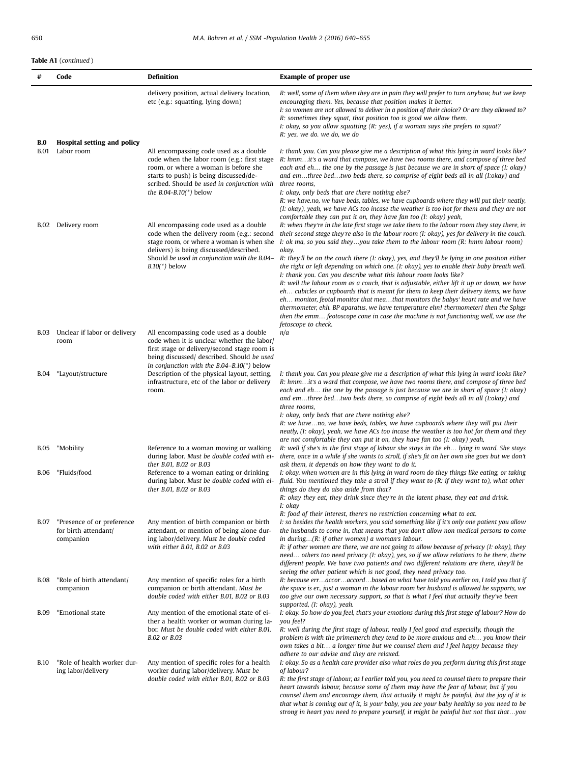# Table A1 (continued)

| #                  | Code                                                            | Definition                                                                                                                                                                                                                                                       | <b>Example of proper use</b>                                                                                                                                                                                                                                                                                                                                                                                                                                                                                                                                                                                                                                                                                                                                                                                                                                                                                                                                                                                                                                                                                                                                                                                            |
|--------------------|-----------------------------------------------------------------|------------------------------------------------------------------------------------------------------------------------------------------------------------------------------------------------------------------------------------------------------------------|-------------------------------------------------------------------------------------------------------------------------------------------------------------------------------------------------------------------------------------------------------------------------------------------------------------------------------------------------------------------------------------------------------------------------------------------------------------------------------------------------------------------------------------------------------------------------------------------------------------------------------------------------------------------------------------------------------------------------------------------------------------------------------------------------------------------------------------------------------------------------------------------------------------------------------------------------------------------------------------------------------------------------------------------------------------------------------------------------------------------------------------------------------------------------------------------------------------------------|
|                    |                                                                 | delivery position, actual delivery location,<br>etc (e.g.: squatting, lying down)                                                                                                                                                                                | R: well, some of them when they are in pain they will prefer to turn anyhow, but we keep<br>encouraging them. Yes, because that position makes it better.<br>I: so women are not allowed to deliver in a position of their choice? Or are they allowed to?<br>R: sometimes they squat, that position too is good we allow them.<br>I: okay, so you allow squatting $(R: yes)$ , if a woman says she prefers to squat?<br>R: yes, we do. we do, we do                                                                                                                                                                                                                                                                                                                                                                                                                                                                                                                                                                                                                                                                                                                                                                    |
| B.O<br><b>B.01</b> | <b>Hospital setting and policy</b><br>Labor room                | All encompassing code used as a double<br>code when the labor room (e.g.: first stage<br>room, or where a woman is before she<br>starts to push) is being discussed/de-<br>scribed. Should be used in conjunction with<br>the $B.04 - B.10$ <sup>*</sup> ) below | I: thank you. Can you please give me a description of what this lying in ward looks like?<br>R: hmmit's a ward that compose, we have two rooms there, and compose of three bed<br>each and eh the one by the passage is just because we are in short of space (I: okay)<br>and emthree bedtwo beds there, so comprise of eight beds all in all (I:okay) and<br>three rooms,<br>I: okay, only beds that are there nothing else?<br>R: we have.no, we have beds, tables, we have cupboards where they will put their neatly,                                                                                                                                                                                                                                                                                                                                                                                                                                                                                                                                                                                                                                                                                              |
| B.O2               | Delivery room                                                   | All encompassing code used as a double<br>code when the delivery room (e.g.: second<br>stage room, or where a woman is when she<br>delivers) is being discussed/described.<br>Should be used in conjunction with the B.04-<br>$B.10(^{\ast})$ below              | (I: okay), yeah, we have ACs too incase the weather is too hot for them and they are not<br>comfortable they can put it on, they have fan too (I: okay) yeah,<br>R: when they're in the late first stage we take them to the labour room they stay there, in<br>their second stage they're also in the labour room (I: okay), yes for delivery in the couch.<br>I: ok ma, so you said theyyou take them to the labour room $(R: \text{ hmm}$ labour room)<br>okay.<br>R: they'll be on the couch there (I: okay), yes, and they'll be lying in one position either<br>the right or left depending on which one. (I: okay), yes to enable their baby breath well.<br>I: thank you. Can you describe what this labour room looks like?<br>R: well the labour room as a couch, that is adjustable, either lift it up or down, we have<br>eh cubicles or cupboards that is meant for them to keep their delivery items, we have<br>eh monitor, feotal monitor that meathat monitors the babys' heart rate and we have<br>thermometer, ehh. BP aparatus, we have temperature ehn! thermometer! then the Sphgs<br>then the emm feotoscope cone in case the machine is not functioning well, we use the<br>fetoscope to check. |
| B.03               | Unclear if labor or delivery<br>room                            | All encompassing code used as a double<br>code when it is unclear whether the labor/<br>first stage or delivery/second stage room is<br>being discussed/ described. Should be used<br>in conjunction with the $B.04 - B.10$ <sup>*</sup> ) below                 | n/a                                                                                                                                                                                                                                                                                                                                                                                                                                                                                                                                                                                                                                                                                                                                                                                                                                                                                                                                                                                                                                                                                                                                                                                                                     |
| B.04               | *Layout/structure                                               | Description of the physical layout, setting,<br>infrastructure, etc of the labor or delivery<br>room.                                                                                                                                                            | I: thank you. Can you please give me a description of what this lying in ward looks like?<br>R: hmmit's a ward that compose, we have two rooms there, and compose of three bed<br>each and eh the one by the passage is just because we are in short of space (I: okay)<br>and emthree bedtwo beds there, so comprise of eight beds all in all (I:okay) and<br>three rooms,<br>I: okay, only beds that are there nothing else?<br>R: we haveno, we have beds, tables, we have cupboards where they will put their<br>neatly, (I: okay), yeah, we have ACs too incase the weather is too hot for them and they                                                                                                                                                                                                                                                                                                                                                                                                                                                                                                                                                                                                           |
| B.05               | *Mobility                                                       | Reference to a woman moving or walking<br>during labor. Must be double coded with ei-<br>ther B.01, B.02 or B.03                                                                                                                                                 | are not comfortable they can put it on, they have fan too (I: okay) yeah,<br>R: well if she's in the first stage of labour she stays in the eh lying in ward. She stays<br>there, once in a while if she wants to stroll, if she's fit on her own she goes but we don't<br>ask them, it depends on how they want to do it.                                                                                                                                                                                                                                                                                                                                                                                                                                                                                                                                                                                                                                                                                                                                                                                                                                                                                              |
| B.06               | *Fluids/food                                                    | Reference to a woman eating or drinking<br>during labor. Must be double coded with ei-<br>ther B.01, B.02 or B.03                                                                                                                                                | I: okay, when women are in this lying in ward room do they things like eating, or taking<br>fluid. You mentioned they take a stroll if they want to (R: if they want to), what other<br>things do they do also aside from that?<br>R: okay they eat, they drink since they're in the latent phase, they eat and drink.<br>I: okay                                                                                                                                                                                                                                                                                                                                                                                                                                                                                                                                                                                                                                                                                                                                                                                                                                                                                       |
| B.O7               | *Presence of or preference<br>for birth attendant/<br>companion | Any mention of birth companion or birth<br>attendant, or mention of being alone dur-<br>ing labor/delivery. Must be double coded<br>with either B.01, B.02 or B.03                                                                                               | R: food of their interest, there's no restriction concerning what to eat.<br>I: so besides the health workers, you said something like if it's only one patient you allow<br>the husbands to come in, that means that you don't allow non medical persons to come<br>in during(R: if other women) a woman's labour.<br>R: if other women are there, we are not going to allow because of privacy (I: okay), they<br>need others too need privacy (I: okay), yes, so if we allow relations to be there, the're<br>different people. We have two patients and two different relations are there, they'll be                                                                                                                                                                                                                                                                                                                                                                                                                                                                                                                                                                                                               |
| B.08               | *Role of birth attendant/<br>companion                          | Any mention of specific roles for a birth<br>companion or birth attendant. Must be<br>double coded with either B.01, B.02 or B.03                                                                                                                                | seeing the other patient which is not good, they need privacy too.<br>R: because erraccoraccordbased on what have told you earlier on, I told you that if<br>the space is er., just a woman in the labour room her husband is allowed he supports, we<br>too give our own necessary support, so that is what I feel that actually they've been<br>supported, (I: okay), yeah.                                                                                                                                                                                                                                                                                                                                                                                                                                                                                                                                                                                                                                                                                                                                                                                                                                           |
| B.09               | *Emotional state                                                | Any mention of the emotional state of ei-<br>ther a health worker or woman during la-<br>bor. Must be double coded with either B.01,<br>B.02 or B.03                                                                                                             | I: okay. So how do you feel, that's your emotions during this first stage of labour? How do<br>you feel?<br>R: well during the first stage of labour, really I feel good and especially, though the<br>problem is with the primemerch they tend to be more anxious and eh you know their<br>own takes a bit a longer time but we counsel them and I feel happy because they<br>adhere to our advise and they are relaxed.                                                                                                                                                                                                                                                                                                                                                                                                                                                                                                                                                                                                                                                                                                                                                                                               |
| B.10               | *Role of health worker dur-<br>ing labor/delivery               | Any mention of specific roles for a health<br>worker during labor/delivery. Must be<br>double coded with either B.01, B.02 or B.03                                                                                                                               | I: okay. So as a health care provider also what roles do you perform during this first stage<br>of labour?<br>R: the first stage of labour, as I earlier told you, you need to counsel them to prepare their<br>heart towards labour, because some of them may have the fear of labour, but if you<br>counsel them and encourage them, that actually it might be painful, but the joy of it is<br>that what is coming out of it, is your baby, you see your baby healthy so you need to be<br>strong in heart you need to prepare yourself, it might be painful but not that thatyou                                                                                                                                                                                                                                                                                                                                                                                                                                                                                                                                                                                                                                    |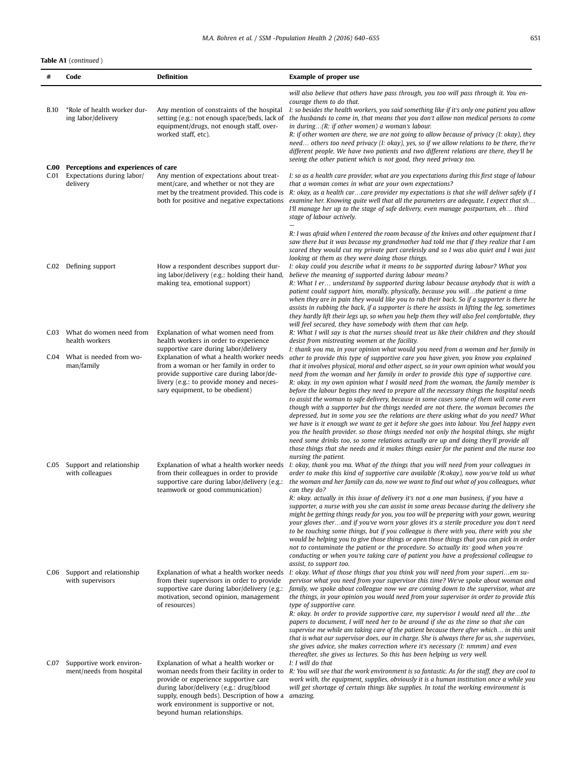# Table A1 (continued)

| #    | Code                                                                               | Definition                                                                                                                                                                                                                                                                                                        | <b>Example of proper use</b>                                                                                                                                                                                                                                                                                                                                                                                                                                                                                                                                                                                                                                                                                                                                                                                                                                                                                                                                                                                                                                                                                                                                                                                                  |
|------|------------------------------------------------------------------------------------|-------------------------------------------------------------------------------------------------------------------------------------------------------------------------------------------------------------------------------------------------------------------------------------------------------------------|-------------------------------------------------------------------------------------------------------------------------------------------------------------------------------------------------------------------------------------------------------------------------------------------------------------------------------------------------------------------------------------------------------------------------------------------------------------------------------------------------------------------------------------------------------------------------------------------------------------------------------------------------------------------------------------------------------------------------------------------------------------------------------------------------------------------------------------------------------------------------------------------------------------------------------------------------------------------------------------------------------------------------------------------------------------------------------------------------------------------------------------------------------------------------------------------------------------------------------|
| B.10 | *Role of health worker dur-<br>ing labor/delivery                                  | Any mention of constraints of the hospital<br>setting (e.g.: not enough space/beds, lack of<br>equipment/drugs, not enough staff, over-<br>worked staff, etc).                                                                                                                                                    | will also believe that others have pass through, you too will pass through it. You en-<br>courage them to do that.<br>I: so besides the health workers, you said something like if it's only one patient you allow<br>the husbands to come in, that means that you don't allow non medical persons to come<br>in during(R: if other women) a woman's labour.<br>R: if other women are there, we are not going to allow because of privacy (I: okay), they<br>need others too need privacy (I: okay), yes, so if we allow relations to be there, the're<br>different people. We have two patients and two different relations are there, they'll be<br>seeing the other patient which is not good, they need privacy too.                                                                                                                                                                                                                                                                                                                                                                                                                                                                                                      |
| C.01 | C.00 Perceptions and experiences of care<br>Expectations during labor/<br>delivery | Any mention of expectations about treat-<br>ment/care, and whether or not they are<br>both for positive and negative expectations                                                                                                                                                                                 | I: so as a health care provider, what are you expectations during this first stage of labour<br>that a woman comes in what are your own expectations?<br>met by the treatment provided. This code is R: okay, as a health carcare provider my expectations is that she will deliver safely if I<br>examine her. Knowing quite well that all the parameters are adequate, I expect that sh<br>I'll manage her up to the stage of safe delivery, even manage postpartum, eh third<br>stage of labour actively.                                                                                                                                                                                                                                                                                                                                                                                                                                                                                                                                                                                                                                                                                                                  |
| C.02 | Defining support                                                                   | How a respondent describes support dur-<br>ing labor/delivery (e.g.: holding their hand,<br>making tea, emotional support)                                                                                                                                                                                        | R: I was afraid when I entered the room because of the knives and other equipment that I<br>saw there but it was because my grandmother had told me that if they realize that I am<br>scared they would cut my private part carelessly and so I was also quiet and I was just<br>looking at them as they were doing those things.<br>I: okay could you describe what it means to be supported during labour? What you<br>believe the meaning of supported during labour means?<br>R: What I er understand by supported during labour because anybody that is with a<br>patient could support him, morally, physically, because you willthe patient a time<br>when they are in pain they would like you to rub their back. So if a supporter is there he<br>assists in rubbing the back, if a supporter is there he assists in lifting the leg, sometimes<br>they hardly lift their legs up, so when you help them they will also feel comfortable, they                                                                                                                                                                                                                                                                       |
|      | C.03 What do women need from<br>health workers                                     | Explanation of what women need from<br>health workers in order to experience                                                                                                                                                                                                                                      | will feel secured, they have somebody with them that can help.<br>R: What I will say is that the nurses should treat us like their children and they should<br>desist from mistreating women at the facility.                                                                                                                                                                                                                                                                                                                                                                                                                                                                                                                                                                                                                                                                                                                                                                                                                                                                                                                                                                                                                 |
|      | C.04 What is needed from wo-<br>man/family                                         | supportive care during labor/delivery<br>Explanation of what a health worker needs<br>from a woman or her family in order to<br>provide supportive care during labor/de-<br>livery (e.g.: to provide money and neces-<br>sary equipment, to be obedient)                                                          | I: thank you ma, in your opinion what would you need from a woman and her family in<br>other to provide this type of supportive care you have given, you know you explained<br>that it involves physical, moral and other aspect, so in your own opinion what would you<br>need from the woman and her family in order to provide this type of supportive care.<br>R: okay. in my own opinion what I would need from the woman, the family member is<br>before the labour begins they need to prepare all the necessary things the hospital needs<br>to assist the woman to safe delivery, because in some cases some of them will come even<br>though with a supporter but the things needed are not there, the woman becomes the<br>depressed, but in some you see the relations are there asking what do you need? What<br>we have is it enough we want to get it before she goes into labour. You feel happy even<br>you the health provider, so those things needed not only the hospital things, she might<br>need some drinks too, so some relations actually are up and doing they'll provide all<br>those things that she needs and it makes things easier for the patient and the nurse too<br>nursing the patient. |
|      | C.05 Support and relationship<br>with colleagues                                   | from their colleagues in order to provide<br>supportive care during labor/delivery (e.g.:<br>teamwork or good communication)                                                                                                                                                                                      | Explanation of what a health worker needs I: okay, thank you ma. What of the things that you will need from your colleagues in<br>order to make this kind of supportive care available (R:okay), now you've told us what<br>the woman and her family can do, now we want to find out what of you colleagues, what<br>can they do?<br>R: okay. actually in this issue of delivery it's not a one man business, if you have a<br>supporter, a nurse with you she can assist in some areas because during the delivery she<br>might be getting things ready for you, you too will be preparing with your gown, wearing<br>your gloves therand if you've worn your gloves it's a sterile procedure you don't need<br>to be touching some things, but if you colleague is there with you, there with you she<br>would be helping you to give those things or open those things that you can pick in order<br>not to contaminate the patient or the procedure. So actually its' good when you're<br>conducting or when you're taking care of patient you have a professional colleague to<br>assist, to support too.                                                                                                                |
|      | C.06 Support and relationship<br>with supervisors                                  | Explanation of what a health worker needs<br>from their supervisors in order to provide<br>supportive care during labor/delivery (e.g.:<br>motivation, second opinion, management<br>of resources)                                                                                                                | I: okay. What of those things that you think you will need from your superiem su-<br>pervisor what you need from your supervisor this time? We've spoke about woman and<br>family, we spoke about colleague now we are coming down to the supervisor, what are<br>the things, in your opinion you would need from your supervisor in order to provide this<br>type of supportive care.<br>R: okay. In order to provide supportive care, my supervisor I would need all thethe<br>papers to document, I will need her to be around if she as the time so that she can<br>supervise me while am taking care of the patient because there after which in this unit<br>that is what our supervisor does, our in charge. She is always there for us, she supervises,<br>she gives advice, she makes correction where it's necessary (I: nmmm) and even<br>thereafter, she gives us lectures. So this has been helping us very well.                                                                                                                                                                                                                                                                                                |
|      | C.07 Supportive work environ-<br>ment/needs from hospital                          | Explanation of what a health worker or<br>woman needs from their facility in order to<br>provide or experience supportive care<br>during labor/delivery (e.g.: drug/blood<br>supply, enough beds). Description of how a <i>amazing</i> .<br>work environment is supportive or not,<br>beyond human relationships. | I: I will do that<br>R: You will see that the work environment is so fantastic. As for the staff, they are cool to<br>work with, the equipment, supplies, obviously it is a human institution once a while you<br>will get shortage of certain things like supplies. In total the working environment is                                                                                                                                                                                                                                                                                                                                                                                                                                                                                                                                                                                                                                                                                                                                                                                                                                                                                                                      |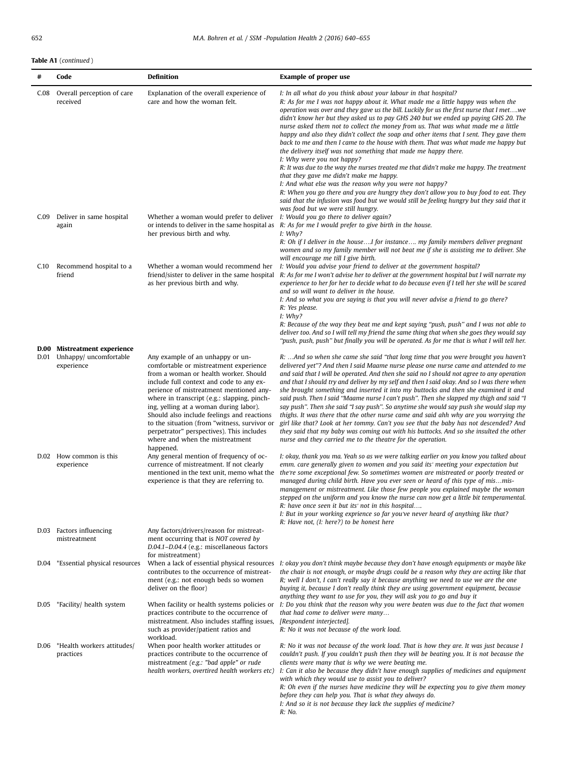## Table A1 (continued )

| #    | Code                                                                 | Definition                                                                                                                                                                                                                                                                                                                                                                                                                                                                                     | <b>Example of proper use</b>                                                                                                                                                                                                                                                                                                                                                                                                                                                                                                                                                                                                                                                                                                                                                                                                                                                                                                                                                                                                                                                                                                                |
|------|----------------------------------------------------------------------|------------------------------------------------------------------------------------------------------------------------------------------------------------------------------------------------------------------------------------------------------------------------------------------------------------------------------------------------------------------------------------------------------------------------------------------------------------------------------------------------|---------------------------------------------------------------------------------------------------------------------------------------------------------------------------------------------------------------------------------------------------------------------------------------------------------------------------------------------------------------------------------------------------------------------------------------------------------------------------------------------------------------------------------------------------------------------------------------------------------------------------------------------------------------------------------------------------------------------------------------------------------------------------------------------------------------------------------------------------------------------------------------------------------------------------------------------------------------------------------------------------------------------------------------------------------------------------------------------------------------------------------------------|
| C.08 | Overall perception of care<br>received                               | Explanation of the overall experience of<br>care and how the woman felt.                                                                                                                                                                                                                                                                                                                                                                                                                       | I: In all what do you think about your labour in that hospital?<br>R: As for me I was not happy about it. What made me a little happy was when the<br>operation was over and they gave us the bill. Luckily for us the first nurse that I metwe<br>didn't know her but they asked us to pay GHS 240 but we ended up paying GHS 20. The<br>nurse asked them not to collect the money from us. That was what made me a little<br>happy and also they didn't collect the soap and other items that I sent. They gave them<br>back to me and then I came to the house with them. That was what made me happy but<br>the delivery itself was not something that made me happy there.<br>I: Why were you not happy?<br>R: It was due to the way the nurses treated me that didn't make me happy. The treatment<br>that they gave me didn't make me happy.<br>I: And what else was the reason why you were not happy?<br>R: When you go there and you are hungry they don't allow you to buy food to eat. They<br>said that the infusion was food but we would still be feeling hungry but they said that it<br>was food but we were still hungry. |
| C.09 | Deliver in same hospital<br>again                                    | Whether a woman would prefer to deliver<br>or intends to deliver in the same hospital as<br>her previous birth and why.                                                                                                                                                                                                                                                                                                                                                                        | I: Would you go there to deliver again?<br>R: As for me I would prefer to give birth in the house.<br>I: Why?<br>R: Oh if I deliver in the houseI for instance my family members deliver pregnant<br>women and so my family member will not beat me if she is assisting me to deliver. She<br>will encourage me till I give birth.                                                                                                                                                                                                                                                                                                                                                                                                                                                                                                                                                                                                                                                                                                                                                                                                          |
| C.10 | Recommend hospital to a<br>friend                                    | Whether a woman would recommend her<br>friend/sister to deliver in the same hospital<br>as her previous birth and why.                                                                                                                                                                                                                                                                                                                                                                         | I: Would you advise your friend to deliver at the government hospital?<br>R: As for me I won't advise her to deliver at the government hospital but I will narrate my<br>experience to her for her to decide what to do because even if I tell her she will be scared<br>and so will want to deliver in the house.<br>I: And so what you are saying is that you will never advise a friend to go there?<br>R: Yes please.<br>I: Why?<br>R: Because of the way they beat me and kept saying "push, push" and I was not able to<br>deliver too. And so I will tell my friend the same thing that when she goes they would say<br>"push, push, push" but finally you will be operated. As for me that is what I will tell her.                                                                                                                                                                                                                                                                                                                                                                                                                 |
| D.01 | D.00 Mistreatment experience<br>Unhappy/ uncomfortable<br>experience | Any example of an unhappy or un-<br>comfortable or mistreatment experience<br>from a woman or health worker. Should<br>include full context and code to any ex-<br>perience of mistreatment mentioned any-<br>where in transcript (e.g.: slapping, pinch-<br>ing, yelling at a woman during labor).<br>Should also include feelings and reactions<br>to the situation (from "witness, survivor or<br>perpetrator" perspectives). This includes<br>where and when the mistreatment<br>happened. | R: And so when she came she said "that long time that you were brought you haven't<br>delivered yet"? And then I said Maame nurse please one nurse came and attended to me<br>and said that I will be operated. And then she said no I should not agree to any operation<br>and that I should try and deliver by my self and then I said okay. And so I was there when<br>she brought something and inserted it into my buttocks and then she examined it and<br>said push. Then I said "Maame nurse I can't push". Then she slapped my thigh and said "I<br>say push". Then she said "I say push". So anytime she would say push she would slap my<br>thighs. It was there that the other nurse came and said ahh why are you worrying the<br>girl like that? Look at her tommy. Can't you see that the baby has not descended? And<br>they said that my baby was coming out with his buttocks. And so she insulted the other<br>nurse and they carried me to the theatre for the operation.                                                                                                                                               |
|      | D.02 How common is this<br>experience                                | Any general mention of frequency of oc-<br>currence of mistreatment. If not clearly<br>mentioned in the text unit, memo what the<br>experience is that they are referring to.                                                                                                                                                                                                                                                                                                                  | I: okay, thank you ma. Yeah so as we were talking earlier on you know you talked about<br>emm. care generally given to women and you said its' meeting your expectation but<br>the're some exceptional few. So sometimes women are mistreated or poorly treated or<br>managed during child birth. Have you ever seen or heard of this type of mismis-<br>management or mistreatment. Like those few people you explained maybe the woman<br>stepped on the uniform and you know the nurse can now get a little bit temperamental.<br>R: have once seen it but its' not in this hospital<br>I: But in your working exprience so far you've never heard of anything like that?<br>R: Have not, (I: here?) to be honest here                                                                                                                                                                                                                                                                                                                                                                                                                   |
|      | D.03 Factors influencing<br>mistreatment                             | Any factors/drivers/reason for mistreat-<br>ment occurring that is NOT covered by<br>D.04.1-D.04.4 (e.g.: miscellaneous factors<br>for mistreatment)                                                                                                                                                                                                                                                                                                                                           |                                                                                                                                                                                                                                                                                                                                                                                                                                                                                                                                                                                                                                                                                                                                                                                                                                                                                                                                                                                                                                                                                                                                             |
|      | D.04 *Essential physical resources                                   | When a lack of essential physical resources<br>contributes to the occurrence of mistreat-<br>ment (e.g.: not enough beds so women<br>deliver on the floor)                                                                                                                                                                                                                                                                                                                                     | I: okay you don't think maybe because they don't have enough equipments or maybe like<br>the chair is not enough, or maybe drugs could be a reason why they are acting like that<br>R; well I don't, I can't really say it because anything we need to use we are the one<br>buying it, because I don't really think they are using government equipment, because<br>anything they want to use for you, they will ask you to go and buy it                                                                                                                                                                                                                                                                                                                                                                                                                                                                                                                                                                                                                                                                                                  |
| D.05 | *Facility/ health system                                             | When facility or health systems policies or<br>practices contribute to the occurrence of<br>mistreatment. Also includes staffing issues,<br>such as provider/patient ratios and<br>workload.                                                                                                                                                                                                                                                                                                   | I: Do you think that the reason why you were beaten was due to the fact that women<br>that had come to deliver were many<br>[Respondent interjected].<br>R: No it was not because of the work load.                                                                                                                                                                                                                                                                                                                                                                                                                                                                                                                                                                                                                                                                                                                                                                                                                                                                                                                                         |
|      | D.06 *Health workers attitudes/<br>practices                         | When poor health worker attitudes or<br>practices contribute to the occurrence of<br>mistreatment (e.g.: "bad apple" or rude<br>health workers, overtired health workers etc)                                                                                                                                                                                                                                                                                                                  | R: No it was not because of the work load. That is how they are. It was just because I<br>couldn't push. If you couldn't push then they will be beating you. It is not because the<br>clients were many that is why we were beating me.<br>I: Can it also be because they didn't have enough supplies of medicines and equipment<br>with which they would use to assist you to deliver?<br>R: Oh even if the nurses have medicine they will be expecting you to give them money<br>before they can help you. That is what they always do.<br>I: And so it is not because they lack the supplies of medicine?<br>R: No.                                                                                                                                                                                                                                                                                                                                                                                                                                                                                                                      |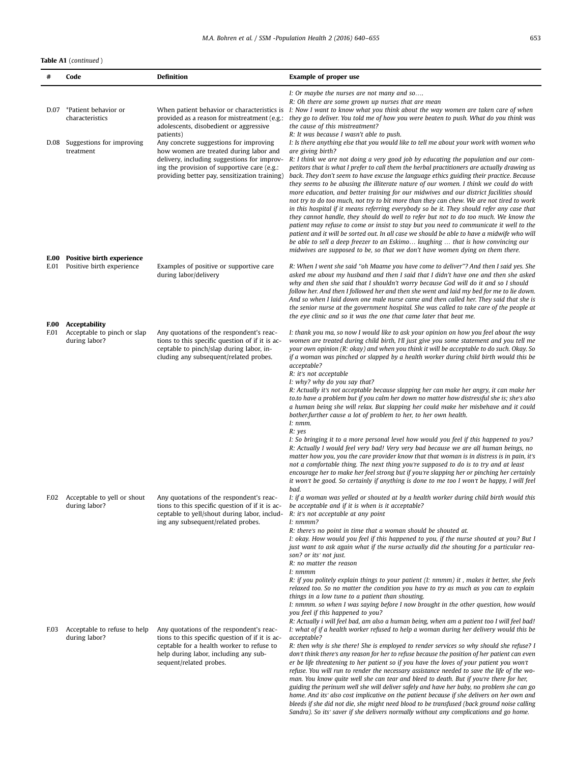# Table A1 (continued)

| #            | Code                                                               | Definition                                                                                                                                                                                                                                   | <b>Example of proper use</b>                                                                                                                                                                                                                                                                                                                                                                                                                                                                                                                                                                                                                                                                                                                                                                                               |
|--------------|--------------------------------------------------------------------|----------------------------------------------------------------------------------------------------------------------------------------------------------------------------------------------------------------------------------------------|----------------------------------------------------------------------------------------------------------------------------------------------------------------------------------------------------------------------------------------------------------------------------------------------------------------------------------------------------------------------------------------------------------------------------------------------------------------------------------------------------------------------------------------------------------------------------------------------------------------------------------------------------------------------------------------------------------------------------------------------------------------------------------------------------------------------------|
|              |                                                                    |                                                                                                                                                                                                                                              | I: Or maybe the nurses are not many and so                                                                                                                                                                                                                                                                                                                                                                                                                                                                                                                                                                                                                                                                                                                                                                                 |
|              | D.07 *Patient behavior or<br>characteristics                       | When patient behavior or characteristics is<br>provided as a reason for mistreatment (e.g.:<br>adolescents, disobedient or aggressive                                                                                                        | R: Oh there are some grown up nurses that are mean<br>I: Now I want to know what you think about the way women are taken care of when<br>they go to deliver. You told me of how you were beaten to push. What do you think was<br>the cause of this mistreatment?                                                                                                                                                                                                                                                                                                                                                                                                                                                                                                                                                          |
|              | D.08 Suggestions for improving<br>treatment                        | patients)<br>Any concrete suggestions for improving<br>how women are treated during labor and<br>delivery, including suggestions for improv-<br>ing the provision of supportive care (e.g.:<br>providing better pay, sensitization training) | R: It was because I wasn't able to push.<br>I: Is there anything else that you would like to tell me about your work with women who<br>are giving birth?<br>R: I think we are not doing a very good job by educating the population and our com-<br>petitors that is what I prefer to call them the herbal practitioners are actually drawing us<br>back. They don't seem to have excuse the language ethics guiding their practice. Because<br>they seems to be abusing the illiterate nature of our women. I think we could do with<br>more education, and better training for our midwives and our district facilities should<br>not try to do too much, not try to bit more than they can chew. We are not tired to work<br>in this hospital if it means referring everybody so be it. They should refer any case that |
|              |                                                                    |                                                                                                                                                                                                                                              | they cannot handle, they should do well to refer but not to do too much. We know the<br>patient may refuse to come or insist to stay but you need to communicate it well to the<br>patient and it will be sorted out. In all case we should be able to have a midwife who will<br>be able to sell a deep freezer to an Eskimo laughing  that is how convincing our<br>midwives are supposed to be, so that we don't have women dying on them there.                                                                                                                                                                                                                                                                                                                                                                        |
| E.01         | <b>E.00</b> Positive birth experience<br>Positive birth experience | Examples of positive or supportive care<br>during labor/delivery                                                                                                                                                                             | R: When I went she said "oh Maame you have come to deliver"? And then I said yes. She<br>asked me about my husband and then I said that I didn't have one and then she asked<br>why and then she said that I shouldn't worry because God will do it and so I should<br>follow her. And then I followed her and then she went and laid my bed for me to lie down.<br>And so when I laid down one male nurse came and then called her. They said that she is<br>the senior nurse at the government hospital. She was called to take care of the people at<br>the eye clinic and so it was the one that came later that beat me.                                                                                                                                                                                              |
| F.00<br>F.01 | Acceptability<br>Acceptable to pinch or slap<br>during labor?      | Any quotations of the respondent's reac-<br>tions to this specific question of if it is ac-<br>ceptable to pinch/slap during labor, in-<br>cluding any subsequent/related probes.                                                            | I: thank you ma, so now I would like to ask your opinion on how you feel about the way<br>women are treated during child birth, I'll just give you some statement and you tell me<br>your own opinion (R: okay) and when you think it will be acceptable to do such. Okay. So<br>if a woman was pinched or slapped by a health worker during child birth would this be<br>acceptable?<br>R: it's not acceptable<br>I: why? why do you say that?<br>R: Actually it's not acceptable because slapping her can make her angry, it can make her                                                                                                                                                                                                                                                                                |
|              |                                                                    |                                                                                                                                                                                                                                              | to.to have a problem but if you calm her down no matter how distressful she is; she's also<br>a human being she will relax. But slapping her could make her misbehave and it could<br>bother.further cause a lot of problem to her, to her own health.<br>I: nmm.<br>R: yes<br>I: So bringing it to a more personal level how would you feel if this happened to you?<br>R: Actually I would feel very bad! Very very bad because we are all human beings, no<br>matter how you, you the care provider know that that woman is in distress is in pain, it's                                                                                                                                                                                                                                                                |
|              |                                                                    |                                                                                                                                                                                                                                              | not a comfortable thing. The next thing you're supposed to do is to try and at least<br>encourage her to make her feel strong but if you're slapping her or pinching her certainly<br>it won't be good. So certainly if anything is done to me too I won't be happy, I will feel<br>bad.                                                                                                                                                                                                                                                                                                                                                                                                                                                                                                                                   |
|              | F.02 Acceptable to yell or shout<br>during labor?                  | Any quotations of the respondent's reac-<br>tions to this specific question of if it is ac-<br>ceptable to yell/shout during labor, includ-<br>ing any subsequent/related probes.                                                            | I: if a woman was yelled or shouted at by a health worker during child birth would this<br>be acceptable and if it is when is it acceptable?<br>R: it's not acceptable at any point<br>$I: numm?$                                                                                                                                                                                                                                                                                                                                                                                                                                                                                                                                                                                                                          |
|              |                                                                    |                                                                                                                                                                                                                                              | R: there's no point in time that a woman should be shouted at.<br>I: okay. How would you feel if this happened to you, if the nurse shouted at you? But I<br>just want to ask again what if the nurse actually did the shouting for a particular rea-<br>son? or its' not just.<br>R: no matter the reason                                                                                                                                                                                                                                                                                                                                                                                                                                                                                                                 |
|              |                                                                    |                                                                                                                                                                                                                                              | I: nmmm<br>R: if you politely explain things to your patient (I: nmmm) it, makes it better, she feels<br>relaxed too. So no matter the condition you have to try as much as you can to explain<br>things in a low tune to a patient than shouting.<br>I: nmmm, so when I was saying before I now brought in the other question, how would<br>you feel if this happened to you?                                                                                                                                                                                                                                                                                                                                                                                                                                             |
| F.03         | Acceptable to refuse to help<br>during labor?                      | Any quotations of the respondent's reac-<br>tions to this specific question of if it is ac-<br>ceptable for a health worker to refuse to                                                                                                     | R: Actually i will feel bad, am also a human being, when am a patient too I will feel bad!<br>I: what of if a health worker refused to help a woman during her delivery would this be<br>acceptable?<br>R: then why is she there! She is employed to render services so why should she refuse? I                                                                                                                                                                                                                                                                                                                                                                                                                                                                                                                           |
|              |                                                                    | help during labor, including any sub-<br>sequent/related probes.                                                                                                                                                                             | don't think there's any reason for her to refuse because the position of her patient can even<br>er be life threatening to her patient so if you have the loves of your patient you won't<br>refuse. You will run to render the necessary assistance needed to save the life of the wo-<br>man. You know quite well she can tear and bleed to death. But if you're there for her,<br>guiding the perinum well she will deliver safely and have her baby, no problem she can go<br>home. And its' also cost implicative on the patient because if she delivers on her own and<br>bleeds if she did not die, she might need blood to be transfused (back ground noise calling                                                                                                                                                |

Sandra). So its' saver if she delivers normally without any complications and go home.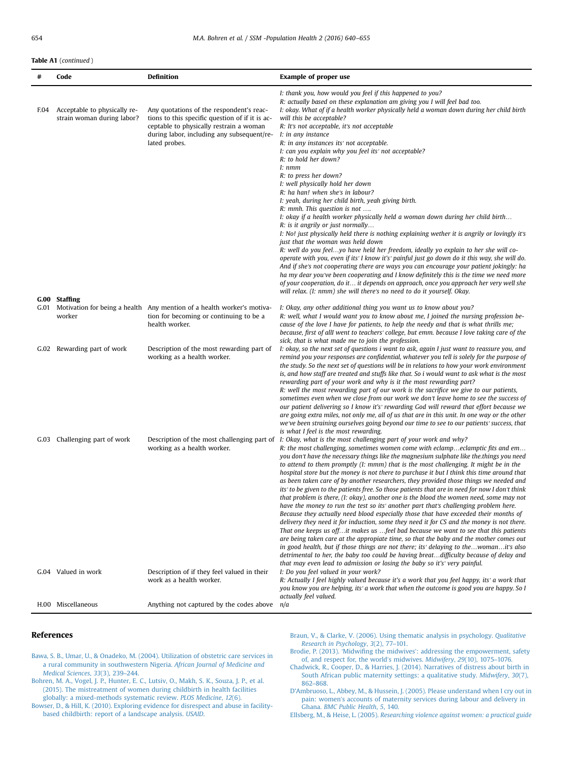#### <span id="page-14-0"></span>Table A1 (continued )

|      | Code                                                       | <b>Definition</b>                                                                                                                                                                                     | <b>Example of proper use</b>                                                                                                                                                                                                                                                                                                                                                                                                                                                                                                                                                                                                                                                                                                                                                                                                                                                                                                                                                                                                                                                                                                                                                                                                                                                                                                                                                                                                                                                                          |
|------|------------------------------------------------------------|-------------------------------------------------------------------------------------------------------------------------------------------------------------------------------------------------------|-------------------------------------------------------------------------------------------------------------------------------------------------------------------------------------------------------------------------------------------------------------------------------------------------------------------------------------------------------------------------------------------------------------------------------------------------------------------------------------------------------------------------------------------------------------------------------------------------------------------------------------------------------------------------------------------------------------------------------------------------------------------------------------------------------------------------------------------------------------------------------------------------------------------------------------------------------------------------------------------------------------------------------------------------------------------------------------------------------------------------------------------------------------------------------------------------------------------------------------------------------------------------------------------------------------------------------------------------------------------------------------------------------------------------------------------------------------------------------------------------------|
| F.04 | Acceptable to physically re-<br>strain woman during labor? | Any quotations of the respondent's reac-<br>tions to this specific question of if it is ac-<br>ceptable to physically restrain a woman<br>during labor, including any subsequent/re-<br>lated probes. | I: thank you, how would you feel if this happened to you?<br>R: actually based on these explanation am giving you I will feel bad too.<br>I: okay. What of if a health worker physically held a woman down during her child birth<br>will this be acceptable?<br>R: It's not acceptable, it's not acceptable<br>I: in any instance<br>R: in any instances its' not acceptable.<br>I: can you explain why you feel its' not acceptable?<br>R: to hold her down?<br>I: nmm<br>R: to press her down?<br>I: well physically hold her down<br>R: ha han! when she's in labour?<br>I: yeah, during her child birth, yeah giving birth.<br>R: mmh. This question is not<br>I: okay if a health worker physically held a woman down during her child birth<br>R: is it angrily or just normally<br>I: No! just physically held there is nothing explaining wether it is angrily or lovingly it's<br>just that the woman was held down<br>R: well do you feelyo have held her freedom, ideally yo explain to her she will co-<br>operate with you, even if its' I know it's' painful just go down do it this way, she will do.<br>And if she's not cooperating there are ways you can encourage your patient jokingly: ha<br>ha my dear you've been cooperating and I know definitely this is the time we need more<br>of your cooperation, do it it depends on approach, once you approach her very well she<br>will relax. (I: nmm) she will there's no need to do it yourself. Okay.                        |
|      | G.00 Staffing<br>worker                                    | G.01 Motivation for being a health Any mention of a health worker's motiva-<br>tion for becoming or continuing to be a<br>health worker.                                                              | I: Okay, any other additional thing you want us to know about you?<br>R: well, what I would want you to know about me, I joined the nursing profession be-<br>cause of the love I have for patients, to help the needy and that is what thrills me;<br>because, first of allI went to teachers' college, but emm. because I love taking care of the<br>sick, that is what made me to join the profession.                                                                                                                                                                                                                                                                                                                                                                                                                                                                                                                                                                                                                                                                                                                                                                                                                                                                                                                                                                                                                                                                                             |
| G.02 | Rewarding part of work                                     | Description of the most rewarding part of<br>working as a health worker.                                                                                                                              | I: okay, so the next set of questions i want to ask, again I just want to reassure you, and<br>remind you your responses are confidential, whatever you tell is solely for the purpose of<br>the study. So the next set of questions will be in relations to how your work environment<br>is, and how staff are treated and stuffs like that. So i would want to ask what is the most<br>rewarding part of your work and why is it the most rewarding part?<br>R: well the most rewarding part of our work is the sacrifice we give to our patients,<br>sometimes even when we close from our work we don't leave home to see the success of<br>our patient delivering so I know it's' rewarding God will reward that effort because we<br>are going extra miles, not only me, all of us that are in this unit. In one way or the other<br>we've been straining ourselves going beyond our time to see to our patients' success, that<br>is what I feel is the most rewarding.                                                                                                                                                                                                                                                                                                                                                                                                                                                                                                                        |
|      | G.03 Challenging part of work                              | working as a health worker.                                                                                                                                                                           | Description of the most challenging part of I: Okay, what is the most challenging part of your work and why?<br>R: the most challenging, sometimes women come with eclampeclamptic fits and em<br>you don't have the necessary things like the magnesium sulphate like the.things you need<br>to attend to them promptly (I: mmm) that is the most challenging. It might be in the<br>hospital store but the money is not there to purchase it but I think this time around that<br>as been taken care of by another researchers, they provided those things we needed and<br>its' to be given to the patients free. So those patients that are in need for now I don't think<br>that problem is there, (I: okay), another one is the blood the women need, some may not<br>have the money to run the test so its' another part that's challenging problem here.<br>Because they actually need blood especially those that have exceeded their months of<br>delivery they need it for induction, some they need it for CS and the money is not there.<br>That one keeps us offit makes us feel bad because we want to see that this patients<br>are being taken care at the appropiate time, so that the baby and the mother comes out<br>in good health, but if those things are not there; its' delaying to thewomanit's also<br>detrimental to her, the baby too could be having breatdifficulty because of delay and<br>that may even lead to admission or losing the baby so it's' very painful. |
|      | G.04 Valued in work                                        | Description of if they feel valued in their<br>work as a health worker.                                                                                                                               | I: Do you feel valued in your work?<br>R: Actually I feel highly valued because it's a work that you feel happy, its' a work that<br>you know you are helping, its' a work that when the outcome is good you are happy. So I<br>actually feel valued.                                                                                                                                                                                                                                                                                                                                                                                                                                                                                                                                                                                                                                                                                                                                                                                                                                                                                                                                                                                                                                                                                                                                                                                                                                                 |
|      | H.00 Miscellaneous                                         | Anything not captured by the codes above $n/a$                                                                                                                                                        |                                                                                                                                                                                                                                                                                                                                                                                                                                                                                                                                                                                                                                                                                                                                                                                                                                                                                                                                                                                                                                                                                                                                                                                                                                                                                                                                                                                                                                                                                                       |

# References

- [Bawa, S. B., Umar, U., & Onadeko, M. \(2004\). Utilization of obstetric care services in](http://refhub.elsevier.com/S2352-8273(16)30045-3/sbref1) [a rural community in southwestern Nigeria.](http://refhub.elsevier.com/S2352-8273(16)30045-3/sbref1) African Journal of Medicine and [Medical Sciences](http://refhub.elsevier.com/S2352-8273(16)30045-3/sbref1), 33(3), 239–244.
- [Bohren, M. A., Vogel, J. P., Hunter, E. C., Lutsiv, O., Makh, S. K., Souza, J. P., et al.](http://refhub.elsevier.com/S2352-8273(16)30045-3/sbref2) [\(2015\). The mistreatment of women during childbirth in health facilities](http://refhub.elsevier.com/S2352-8273(16)30045-3/sbref2) [globally: a mixed-methods systematic review.](http://refhub.elsevier.com/S2352-8273(16)30045-3/sbref2) PLOS Medicine, 12(6).
- [Bowser, D., & Hill, K. \(2010\). Exploring evidence for disrespect and abuse in facility](http://refhub.elsevier.com/S2352-8273(16)30045-3/sbref3)[based childbirth: report of a landscape analysis.](http://refhub.elsevier.com/S2352-8273(16)30045-3/sbref3) USAID.
- [Braun, V., & Clarke, V. \(2006\). Using thematic analysis in psychology.](http://refhub.elsevier.com/S2352-8273(16)30045-3/sbref4) Qualitative [Research in Psychology](http://refhub.elsevier.com/S2352-8273(16)30045-3/sbref4), 3(2), 77–101.
- Brodie, P. (2013). 'Midwifing the midwives'[: addressing the empowerment, safety](http://refhub.elsevier.com/S2352-8273(16)30045-3/sbref5) [of, and respect for, the world](http://refhub.elsevier.com/S2352-8273(16)30045-3/sbref5)'s midwives. Midwifery, 29(10), 1075–1076.
- [Chadwick, R., Cooper, D., & Harries, J. \(2014\). Narratives of distress about birth in](http://refhub.elsevier.com/S2352-8273(16)30045-3/sbref6) [South African public maternity settings: a qualitative study.](http://refhub.elsevier.com/S2352-8273(16)30045-3/sbref6) Midwifery, 30(7), [862](http://refhub.elsevier.com/S2352-8273(16)30045-3/sbref6)–[868.](http://refhub.elsevier.com/S2352-8273(16)30045-3/sbref6)
- [D'Ambruoso, L., Abbey, M., & Hussein, J. \(2005\). Please understand when I cry out in](http://refhub.elsevier.com/S2352-8273(16)30045-3/sbref7) pain: women'[s accounts of maternity services during labour and delivery in](http://refhub.elsevier.com/S2352-8273(16)30045-3/sbref7) Ghana. [BMC Public Health](http://refhub.elsevier.com/S2352-8273(16)30045-3/sbref7), 5, 140.

Ellsberg, M., & Heise, L. (2005). [Researching violence against women: a practical guide](http://refhub.elsevier.com/S2352-8273(16)30045-3/sbref8)